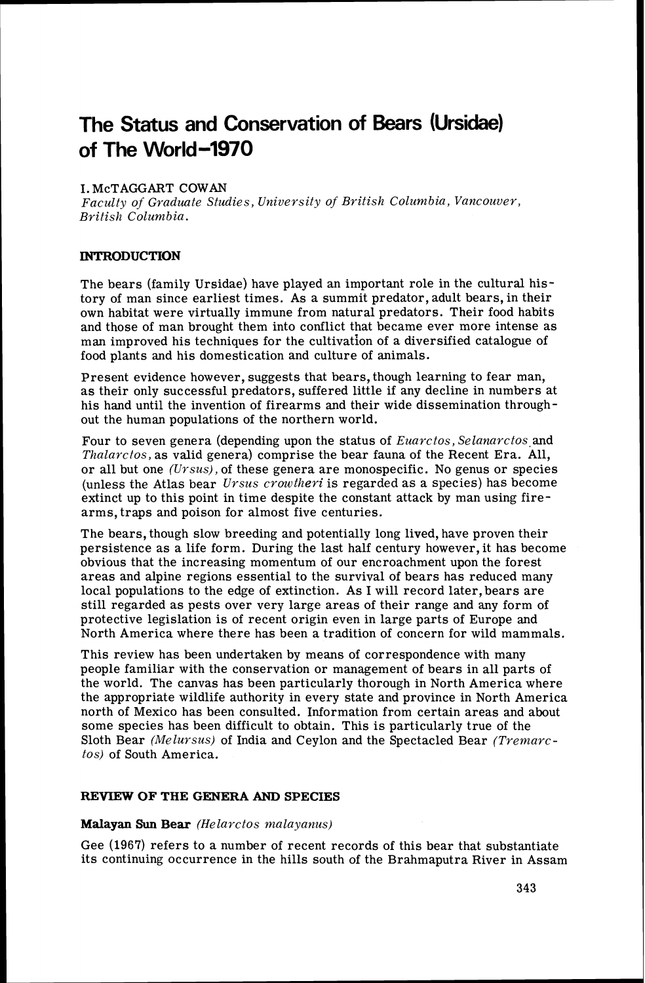# **The Status and Conservation of Bears (Ursidae) of The World-1970**

# I. McTAGGART COWAN

*Faculty of Graduate Studies, University of British Columbia, Vancouver, Brifislz Columbia.* 

#### **INTRODUCTION**

The bears (family Ursidae) have played an important role in the cultural history of man since earliest times. As a summit predator, adult bears, in their own habitat were virtually immune from natural predators. Their food habits and those of man brought them into conflict that became ever more intense as man improved his techniques for the cultivation of a diversified catalogue of food plants and his domestication and culture of animals.

Present evidence however, suggests that bears, though learning to fear man, as their only successful predators, suffered little if any decline in numbers at his hand until the invention of firearms and their wide dissemination throughout the human populations of the northern world.

Four to seven genera (depending upon the status of *Euarctos*, Selanarctos and *Thalarctos,* as valid genera) comprise the bear fauna of the Recent Era. All, or all but one *(Urszts),*of these genera are monospecific. No genus or species (unless the Atlas bear *U~suscrowtheri* is regarded as a species) has become extinct up to this point in time despite the constant attack by man using firearms, traps and poison for almost five centuries.

The bears, though slow breeding and potentially long lived, have proven their persistence as a life form. During the last half century however, it has become obvious that the increasing momentum of our encroachment upon the forest areas and alpine regions essential to the survival of bears has reduced many local populations to the edge of extinction. As I will record later, bears are still regarded as pests over very large areas of their range and any form of protective legislation is of recent origin even in large parts of Europe and North America where there has been a tradition of concern for wild mammals.

This review has been undertaken by means of correspondence with many people familiar with the conservation or management of bears in all parts of the world. The canvas has been particularly thorough in North America where the appropriate wildlife authority in every state and province in North America north of Mexico has been consulted. Information from certain areas and about some species has been difficult to obtain. This is particularly true of the Sloth Bear *(Melursus)* of India and Ceylon and the Spectacled Bear *(Tremarctos)* of South America.

#### **REVIEW OF THE GENERA AND SPECIES**

#### **Malayan Sun Bear** *(Helarctos malayanus)*

Gee (1967) refers to a number of recent records of this bear that substantiate its continuing occurrence in the hills south of the Brahmaputra River in Assam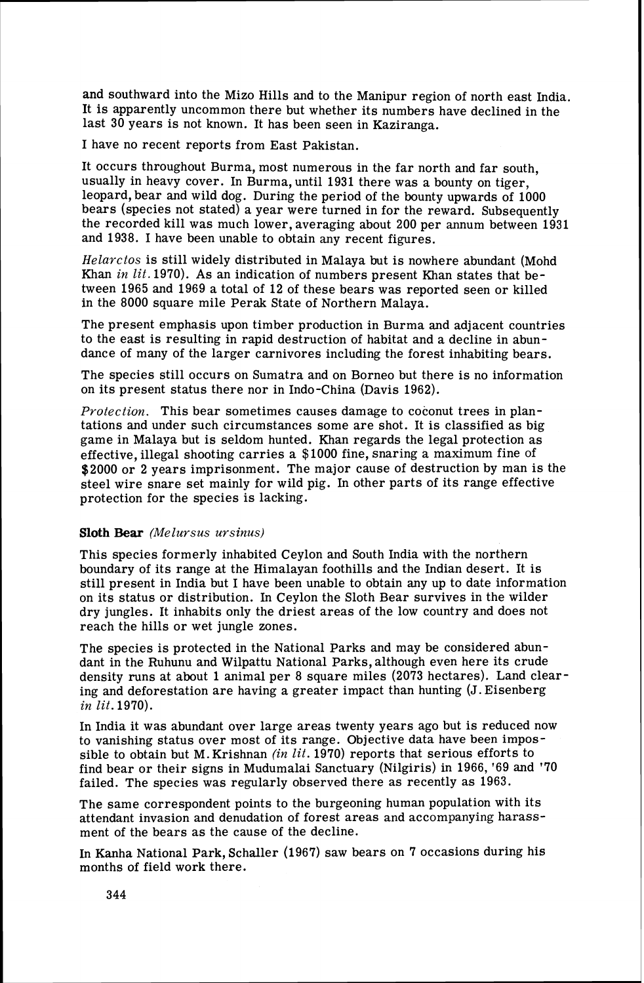and southward into the Mizo Hills and to the Manipur region of north east India. It is apparently uncommon there but whether its numbers have declined in the last 30 years is not known. It has been seen in Kaziranga.

I have no recent reports from East Pakistan.

It occurs throughout Burma, most numerous in the far north and far south, usually in heavy cover. In Burma, until 1931 there was a bounty on tiger, leopard, bear and wild dog. During the period of the bounty upwards of 1000 bears (species not stated) a year were turned in for the reward. Subsequently the recorded kill was much lower, averaging about 200 per annum between 1931 and 1938. I have been unable to obtain any recent figures.

*Helarctos* is still widely distributed in Malaya but is nowhere abundant (Mohd Khan *in lit.* 1970). As an indication of numbers present Khan states that between 1965 and 1969 a total of 12 of these bears was reported seen or killed in the 8000 square mile Perak State of Northern Malaya.

The present emphasis upon timber production in Burma and adjacent countries to the east is resulting in rapid destruction of habitat and a decline in abundance of many of the larger carnivores including the forest inhabiting bears.

The species still occurs on Sumatra and on Borneo but there is no information on its present status there nor in Indo-China (Davis 1962).

*Protection.* This bear sometimes causes damage to coconut trees in plantations and under such circumstances some are shot. It is classified as big game in Malaya but is seldom hunted. Khan regards the legal protection as effective, illegal shooting carries a \$1000 fine, snaring a maximum fine of \$2000 or 2 years imprisonment. The major cause of destruction by man is the steel wire snare set mainly for wild pig. In other parts of its range effective protection for the species is lacking.

#### **Sloth Bear** *(Melursus ursinus)*

This species formerly inhabited Ceylon and South India with the northern boundary of its range at the Himalayan foothills and the Indian desert. It is still present in India but I have been unable to obtain any up to date information on its status or distribution. In Ceylon the Sloth Bear survives in the wilder dry jungles. It inhabits only the driest areas of the low country and does not reach the hills or wet jungle zones.

The species is protected in the National Parks and may be considered abundant in the Ruhunu and Wilpattu National Parks, although even here its crude density runs at about 1 animal per 8 square miles (2073 hectares). Land clearing and deforestation are having a greater impact than hunting (J.Eisenberg *in lit.* 1970).

In India it was abundant over large areas twenty years ago but is reduced now to vanishing status over most of its range. Objective data have been impossible to obtain but M. Krishnan *(in lit.* 1970) reports that serious efforts to find bear or their signs in Mudumalai Sanctuary (Nilgiris) in 1966, '69 and '70 failed. The species was regularly observed there as recently as 1963.

The same correspondent points to the burgeoning human population with its attendant invasion and denudation of forest areas and accompanying harassment of the bears as the cause of the decline.

In Kanha National Park, Schaller (1967) saw bears on 7 occasions during his months of field work there.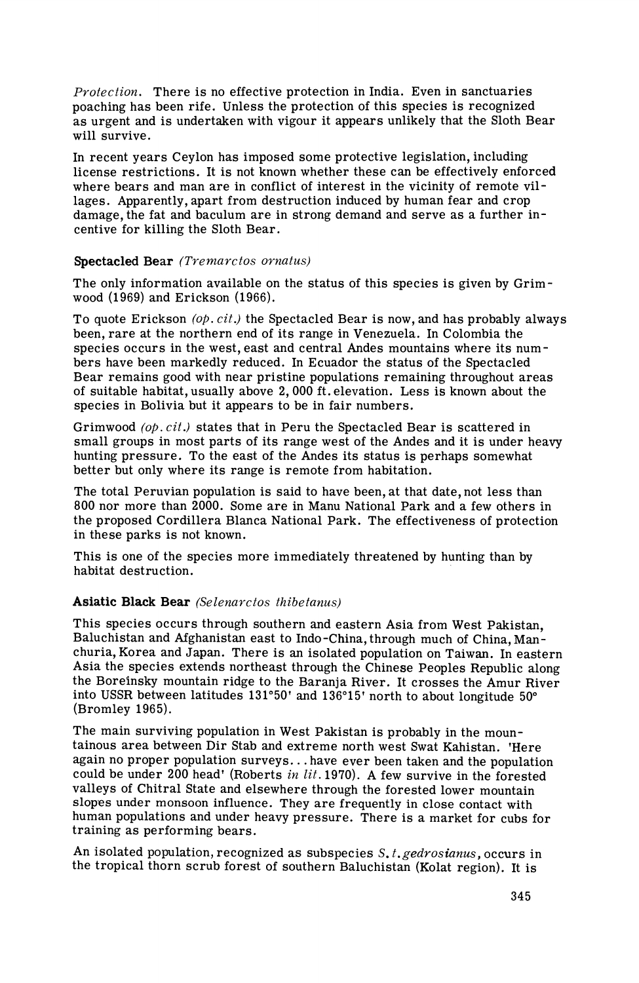*Protection.* There is no effective protection in India. Even in sanctuaries poaching has been rife. Unless the protection of this species is recognized as urgent and is undertaken with vigour it appears unlikely that the Sloth Bear will survive.

In recent years Ceylon has imposed some protective legislation, including license restrictions. It is not known whether these can be effectively enforced where bears and man are in conflict of interest in the vicinity of remote villages. Apparently, apart from destruction induced by human fear and crop damage, the fat and baculum are in strong demand and serve as a further incentive for killing the Sloth Bear.

## Spectacled Bear *(Tremarctos ornatus)*

The only information available on the status of this species is given by Grimwood (1969) and Erickson (1966).

To quote Erickson *(00. cit.)* the Spectacled Bear is now, and has probably always been, rare at the northern end of its range in Venezuela. In Colombia the species occurs in the west, east and central Andes mountains where its numbers have been markedly reduced. In Ecuador the status of the Spectacled Bear remains good with near pristine populations remaining throughout areas of suitable habitat, usually above 2,000 ft. elevation. Less is known about the species in Bolivia but it appears to be in fair numbers.

Grimwood *(op. cif.)* states that in Peru the Spectacled Bear is scattered in small groups in most parts of its range west of the Andes and it is under heavy hunting pressure. To the east of the Andes its status is perhaps somewhat better but only where its range is remote from habitation.

The total Peruvian population is said to have been, at that date, not less than 800 nor more than 2000. Some are in Manu National Park and a few others in the proposed Cordillera Blanca National Park. The effectiveness of protection in these parks is not known.

This is one of the species more immediately threatened by hunting than by habitat destruction.

# Asiatic Black Bear *(Selenarctos thibetanus)*

This species occurs through southern and eastern Asia from West Pakistan, Baluchistan and Afghanistan east to Indo-China, through much of China, Manchuria, Korea and Japan. There is an isolated population on Taiwan. In eastern Asia the species extends northeast through the Chinese Peoples Republic along the Boreinsky mountain ridge to the Baranja River. It crosses the Amur River into USSR between latitudes 131°50' and 136"15' north to about longitude 50" (Bromley 1965).

The main surviving population in West Pakistan is probably in the mountainous area between Dir Stab and extreme north west Swat Kahistan. 'Here again no proper population surveys. . .have ever been taken and the population could be under 200 head' (Roberts *in lit.* 1970). A few survive in the forested valleys of Chitral State and elsewhere through the forested lower mountain slopes under monsoon influence. They are frequently in close contact with human populations and under heavy pressure. There is a market for cubs for training as performing bears.

An isolated population, recognized as subspecies S. *t.gedrosianus,* occurs in the tropical thorn scrub forest of southern Baluchistan (Kolat region). It is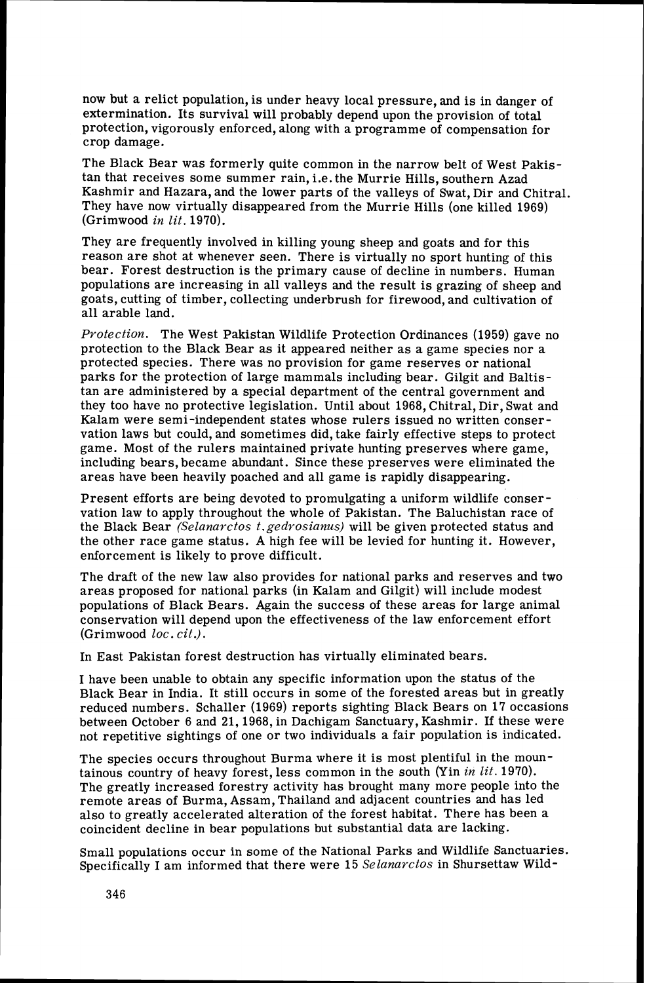now but a relict population, is under heavy local pressure, and is in danger of extermination. Its survival will probably depend upon the provision of total protection, vigorously enforced, along with a programme of compensation for crop damage.

The Black Bear was formerly quite common in the narrow belt of West Pakistan that receives some summer rain, i.e. the Murrie Hills, southern Azad Kashmir and Hazara, and the lower parts of the valleys of Swat, Dir and Chitral. They have now virtually disappeared from the Murrie Hills (one killed 1969) (Grimwood *in* lit. 1970).

They are frequently involved in killing young sheep and goats and for this reason are shot at whenever seen. There is virtually no sport hunting of this bear. Forest destruction is the primary cause of decline in numbers. Human populations are increasing in all valleys and the result is grazing of sheep and goats, cutting of timber, collecting underbrush for firewood, and cultivation of all arable land.

*Protection.* The West Pakistan Wildlife Protection Ordinances (1959) gave no protection to the Black Bear as it appeared neither as a game species nor a protected species. There was no provision for game reserves or national parks for the protection of large mammals including bear. Gilgit and Baltistan are administered by a special department of the central government and they too have no protective legislation. Until about 1968, Chitral, Dir, Swat and Kalam were semi-independent states whose rulers issued no written conservation laws but could, and sometimes did, take fairly effective steps to protect game. Most of the rulers maintained private hunting preserves where game, including bears, became abundant. Since these preserves were eliminated the areas have been heavily poached and all game is rapidly disappearing.

Present efforts are being devoted to promulgating a uniform wildlife conservation law to apply throughout the whole of Pakistan. The Baluchistan race of the Black Bear *(Selanavctos t.gedvosianus)* will be given protected status and the other race game status. A high fee will be levied for hunting it. However, enforcement is likely to prove difficult.

The draft of the new law also provides for national parks and reserves and two areas proposed for national parks (in Kalam and Gilgit) will include modest populations of Black Bears. Again the success of these areas for large animal conservation will depend upon the effectiveness of the law enforcement effort (Grimwood *loc. cit.).* 

In East Pakistan forest destruction has virtually eliminated bears.

I have been unable to obtain any specific information upon the status of the Black Bear in India. It still occurs in some of the forested areas but in greatly reduced numbers. Schaller (1969) reports sighting Black Bears on 17 occasions between October 6 and 21,1968, in Dachigam Sanctuary, Kashmir. If these were not repetitive sightings of one or two individuals a fair population is indicated.

The species occurs throughout Burma where it is most plentiful in the mountainous country of heavy forest, less common in the south (Yin *in lit.* 1970). The greatly increased forestry activity has brought many more people into the remote areas of Burma, Assam, Thailand and adjacent countries and has led also to greatly accelerated alteration of the forest habitat. There has been a coincident decline in bear populations but substantial data are lacking.

Small populations occur in some of the National Parks and Wildlife Sanctuaries. Specifically I am informed that there were 15 *Selanarctos* in Shursettaw Wild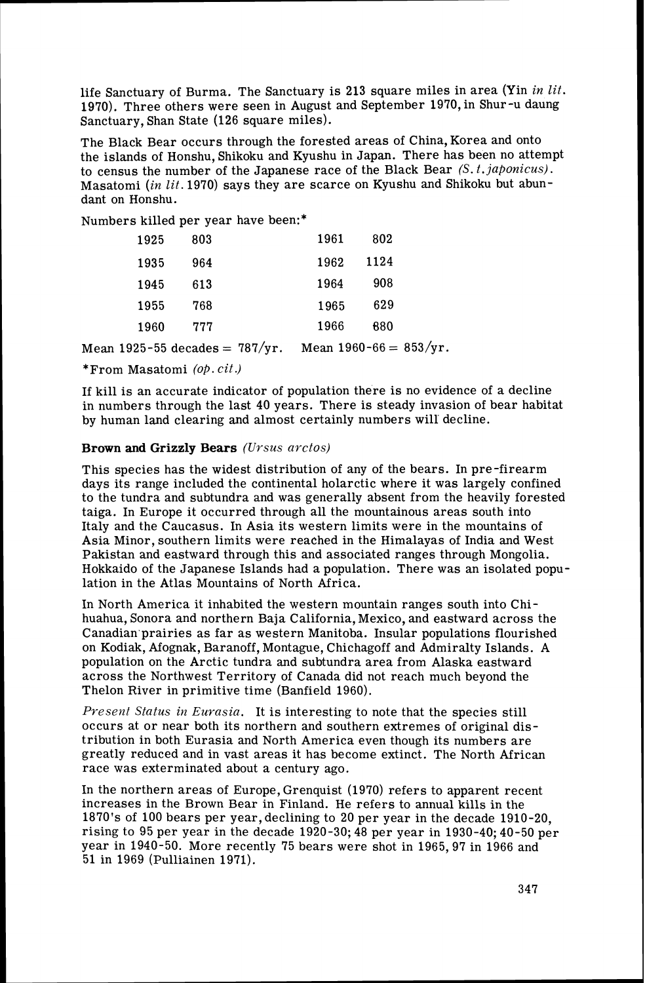life Sanctuary of Burma. The Sanctuary is 213 square miles in area (Yin in *lit.*  1970). Three others were seen in August and September 1970,in Shur-u daung Sanctuary, Shan State (126 square miles).

The Black Bear occurs through the forested areas of China, Korea and onto the islands of Honshu, Shikoku and Kyushu in Japan. There has been no attempt to census the number of the Japanese race of the Black Bear (S.*t.japonicus).*  Masatomi *(in lit.* 1970) says they are scarce on Kyushu and Shikoku but abundant on Honshu.

Numbers killed per year have been:\*

| 1925 | 803 | 1961 | 802  |
|------|-----|------|------|
| 1935 | 964 | 1962 | 1124 |
| 1945 | 613 | 1964 | 908  |
| 1955 | 768 | 1965 | 629  |
| 1960 | 777 | 1966 | 680  |

Mean 1925-55 decades =  $787/yr$ . Mean 1960-66 =  $853/yr$ .

\*From Masatomi *(op. cif*.)

If kill is an accurate indicator of population there is no evidence of a decline in numbers through the last 40 years. There is steady invasion of bear habitat by human land clearing and almost certainly numbers will decline.

#### Brown and Grizzly Bears *(Ursus arctos)*

This species has the widest distribution of any of the bears. In pre-firearm days its range included the continental holarctic where it was largely confined to the tundra and subtundra and was generally absent from the heavily forested taiga. In Europe it occurred through all the mountainous areas south into Italy and the Caucasus. In Asia its western limits were in the mountains of Asia Minor, southern limits were reached in the Himalayas of India and West Pakistan and eastward through this and associated ranges through Mongolia. Hokkaido of the Japanese Islands had a population. There was an isolated population in the Atlas Mountains of North Africa.

In North America it inhabited the western mountain ranges south into Chihuahua, Sonora and northern Baja California, Mexico, and eastward across the Canadian prairies as far as western Manitoba. Insular populations flourished on Kodiak, Afognak, Baranoff, Montague, Chichagoff and Admiralty Islands. A population on the Arctic tundra and subtundra area from Alaska eastward across the Northwest Territory of Canada did not reach much beyond the Thelon River in primitive time (Banfield 1960).

*Present Status in Eurasia.* It is interesting to note that the species still occurs at or near both its northern and southern extremes of original distribution in both Eurasia and North America even though its numbers are greatly reduced and in vast areas it has become extinct. The North African race was exterminated about a century ago.

In the northern areas of Europe, Grenquist (1970) refers to apparent recent increases in the Brown Bear in Finland. He refers to annual kills in the 1870's of 100 bears per year,declining to 20 per year in the decade 1910-20, rising to 95 per year in the decade 1920-30; 48 per year in 1930-40; 40-50 per year in 1940-50. More recently 75 bears were shot in 1965,97 in 1966 and 51 in 1969 (Pulliainen 1971).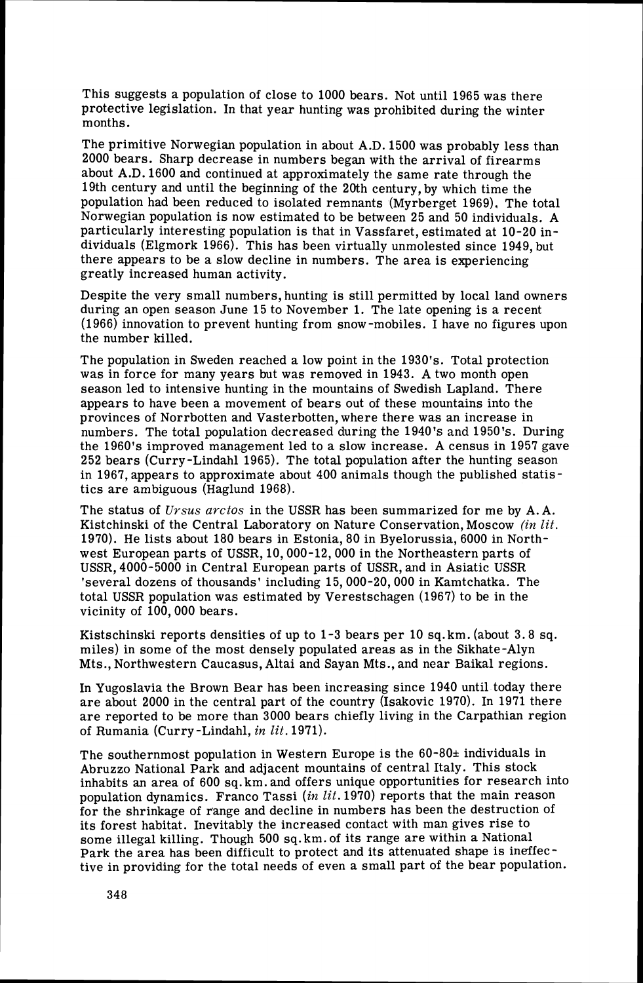This suggests a population of close to 1000 bears. Not until 1965 was there protective legislation. In that year hunting was prohibited during the winter months.

The primitive Norwegian population in about A.D. 1500 was probably less than 2000 bears. Sharp decrease in numbers began with the arrival of firearms about A.D. 1600 and continued at approximately the same rate through the 19th century and until the beginning of the 20th century, by which time the population had been reduced to isolated remnants (Myrberget 1969). The total Norwegian population is now estimated to be between 25 and 50 individuals. A particularly interesting population is that in Vassfaret, estimated at 10-20 individuals (Elgmork 1966). This has been virtually unmolested since 1949, but there appears to be a slow decline in numbers. The area is experiencing greatly increased human activity.

Despite the very small numbers, hunting is still permitted by local land owners during an open season June 15 to November 1. The late opening is a recent (1966) innovation to prevent hunting from snow-mobiles. I have no figures upon the number killed.

The population in Sweden reached a low point in the 1930's. Total protection was in force for many years but was removed in 1943. A two month open season led to intensive hunting in the mountains of Swedish Lapland. There appears to have been a movement of bears out of these mountains into the provinces of Norrbotten and Vasterbotten, where there was an increase in numbers. The total population decreased during the 1940's and 1950's. During the 1960's improved management led to a slow increase. **A** census in 1957 gave 252 bears (Curry-Lindahl 1965). The total population after the hunting season in 1967, appears to approximate about 400 animals though the published statistics are ambiguous (Haglund 1968).

The status of *Ursus arctos* in the USSR has been summarized for me by A.A. Kistchinski of the Central Laboratory on Nature Conservation, Moscow *(in lit.*  1970). He lists about 180 bears in Estonia, 80 in Byelorussia, 6000 in Northwest European parts of USSR, 10,000-12,000 in the Northeastern parts of USSR, 4000-5000 in Central European parts of USSR, and in Asiatic USSR 'several dozens of thousands' including 15,000-20,000 in Kamtchatka. The total USSR population was estimated by Verestschagen (1967) to be in the vicinity of 100,000 bears.

Kistschinski reports densities of up to 1-3 bears per 10 sq.km. (about 3.8 sq. miles) in some of the most densely populated areas as in the Sikhate-Alyn Mts., Northwestern Caucasus, Altai and Sayan Mts., and near Baikal regions.

In Yugoslavia the Brown Bear has been increasing since 1940 until today there are about 2000 in the central part of the country (Isakovic 1970). In 1971 there are reported to be more than 3000 bears chiefly living in the Carpathian region of Rumania (Curry -Lindahl, in *lit.* 1971).

The southernmost population in Western Europe is the  $60-80<sup>\pm</sup>$  individuals in Abruzzo National Park and adjacent mountains of central Italy. This stock inhabits an area of 600 sq. km. and offers unique opportunities for research into population dynamics. Franco Tassi (in *lit.* 1970) reports that the main reason for the shrinkage of range and decline in numbers has been the destruction of its forest habitat. Inevitably the increased contact with man gives rise to some illegal killing. Though 500 sq.km. of its range are within a National Park the area has been difficult to protect and its attenuated shape is ineffective in providing for the total needs of even a small part of the bear population.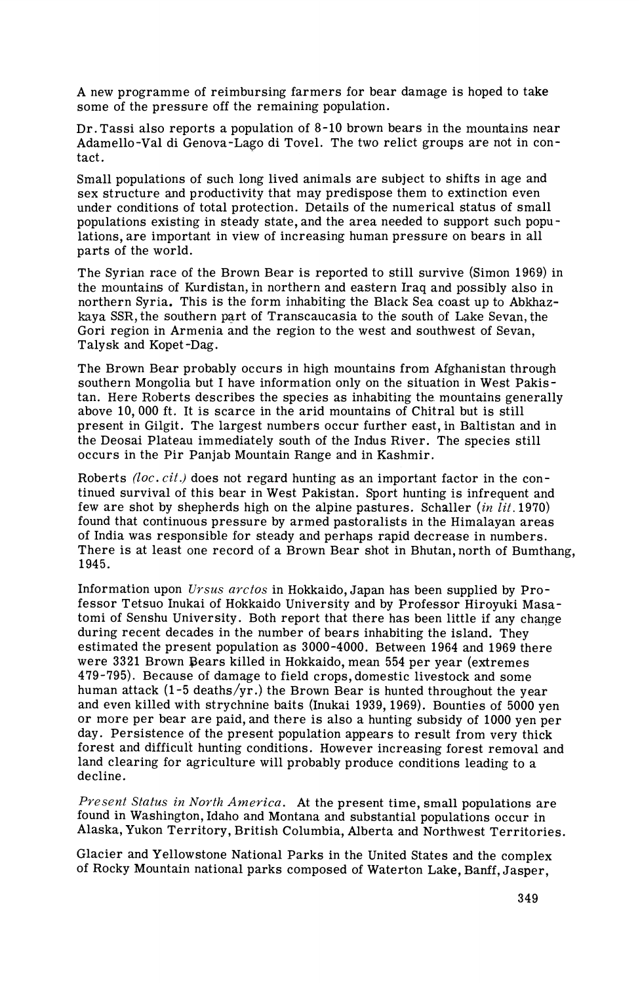A new programme of reimbursing farmers for bear damage is hoped to take some of the pressure off the remaining population.

Dr. Tassi also reports a population of  $8-10$  brown bears in the mountains near Adamello-Val di Genova-Lago di Tovel. The two relict groups are not in contact.

Small populations of such long lived animals are subject to shifts in age and sex structure and productivity that may predispose them to extinction even under conditions of total protection. Details of the numerical status of small populations existing in steady state, and the area needed to support such populations, are important in view of increasing human pressure on bears in all parts of the world.

The Syrian race of the Brown Bear is reported to still survive (Simon 1969) in the mountains of Kurdistan, in northern and eastern Iraq and possibly also in northern Syria. This is the form inhabiting the Black Sea coast up to Abkhazkaya SSR, the southern part of Transcaucasia to the south of Lake Sevan, the Gori region in Armenia and the region to the west and southwest of Sevan, Talysk and Kopet -Dag.

The Brown Bear probably occurs in high mountains from Afghanistan through southern Mongolia but I have information only on the situation in West Pakistan. Here Roberts describes the species as inhabiting the mountains generally above 10, 000 ft. It is scarce in the arid mountains of Chitral but is still present in Gilgit. The largest numbers occur further east, in Baltistan and in the Deosai Plateau immediately south of the Indus River. The species still occurs in the Pir Panjab Mountain Range and in Kashmir.

Roberts *(loc. cit.)* does not regard hunting as an important factor in the continued survival of this bear in West Pakistan. sport hunting is infrequent and few are shot by shepherds high on the alpine pastures. Schaller  $(in \, lit. 1970)$ found that continuous pressure by armed pastoralists in the Himalayan areas of India was responsible for steady and perhaps rapid decrease in numbers. There is at least one record of a Brown Bear shot in Bhutan, north of Bumthang, 1945.

Information upon *Ursus arctos* in Hokkaido, Japan has been supplied by Professor Tetsuo Inukai of Hokkaido University and by Professor Hiroyuki Masatomi of Senshu University. Both report that there has been little if any change during recent decades in the number of bears inhabiting the island. They estimated the present population as 3000-4000. Between 1964 and 1969 there were 3321 Brown Bears killed in Hokkaido, mean 554 per year (extremes 479-795). Because of damage to field crops,domestic livestock and some human attack  $(1-5$  deaths/yr.) the Brown Bear is hunted throughout the year and even killed with strychnine baits (Inukai 1939,1969). Bounties of 5000 yen or more per bear are paid, and there is also a hunting subsidy of 1000 yen per day. Persistence of the present population appears to result from very thick forest and difficult hunting conditions. However increasing forest removal and land clearing for agriculture will probably produce conditions leading to a decline.

*Present Status in North America.* At the present time, small populations are found in Washington, Idaho and Montana and substantial populations occur in Alaska, Yukon Territory, British Columbia, Alberta and Northwest Territories.

Glacier and Yellowstone National Parks in the United States and the complex of Rocky Mountain national parks composed of Waterton Lake, Banff, Jasper,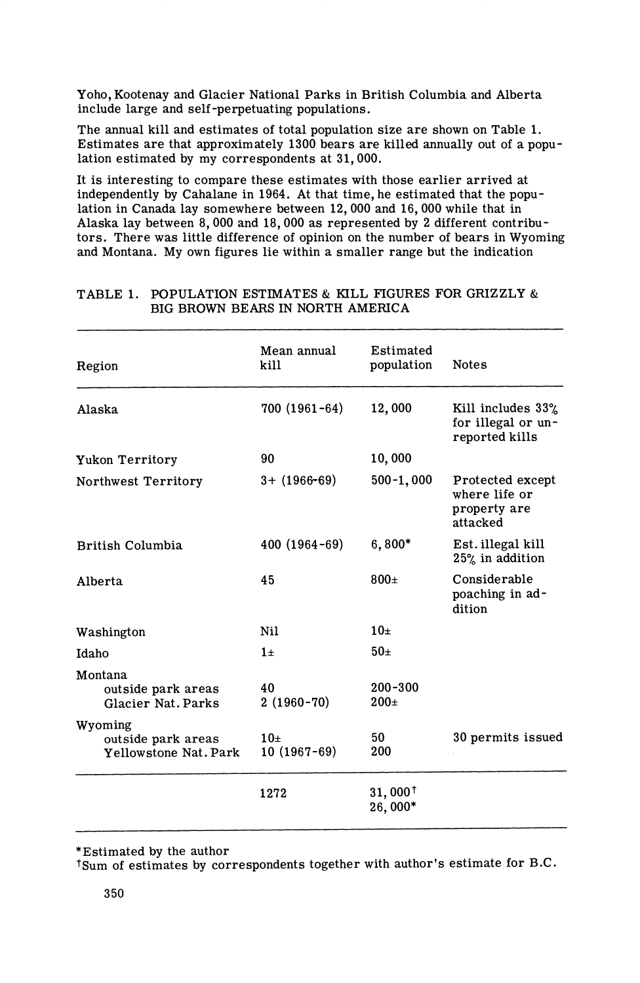Yoho, Kootenay and Glacier National Parks in British Columbia and Alberta include large and self-perpetuating populations.

The annual kill and estimates of total population size are shown on Table 1. Estimates are that approximately 1300 bears are killed annually out of a population estimated by my correspondents at 31,000.

It is interesting to compare these estimates with those earlier arrived at independently by Cahalane in 1964. At that time, he estimated that the population in Canada lay somewhere between 12,000 and 16,000 while that in Alaska lay between 8,000 and 18,000 as represented by 2 different contributors. There was little difference of opinion on the number of bears in Wyoming and Montana. My own figures lie within a smaller range but the indication

| Region                                                 | Mean annual<br>kill             | Estimated<br>population       | <b>Notes</b>                                                  |
|--------------------------------------------------------|---------------------------------|-------------------------------|---------------------------------------------------------------|
| Alaska                                                 | 700 (1961-64)                   | 12,000                        | Kill includes 33%<br>for illegal or un-<br>reported kills     |
| Yukon Territory                                        | 90                              | 10,000                        |                                                               |
| Northwest Territory                                    | $3 + (1966 - 69)$               | $500 - 1,000$                 | Protected except<br>where life or<br>property are<br>attacked |
| British Columbia                                       | $400(1964-69)$                  | $6,800*$                      | Est. illegal kill<br>25% in addition                          |
| Alberta                                                | 45                              | $800\pm$                      | Considerable<br>poaching in ad-<br>dition                     |
| Washington                                             | Nil                             | 10 <sub>±</sub>               |                                                               |
| Idaho                                                  | $1\pm$                          | 50 <sub>±</sub>               |                                                               |
| Montana<br>outside park areas<br>Glacier Nat. Parks    | 40<br>$2(1960-70)$              | $200 - 300$<br>$200 \pm$      |                                                               |
| Wyoming<br>outside park areas<br>Yellowstone Nat. Park | 10 <sub>±</sub><br>10 (1967-69) | 50<br>200                     | 30 permits issued                                             |
|                                                        | 1272                            | $31,000^{\dagger}$<br>26,000* |                                                               |

## TABLE 1. POPULATION ESTIMATES & KILL FIGURES FOR GRIZZLY & BIG BROWN BEARS IN NORTH AMERICA

\*Estimated by the author

Sum of estimates by correspondents together with author's estimate for B.C.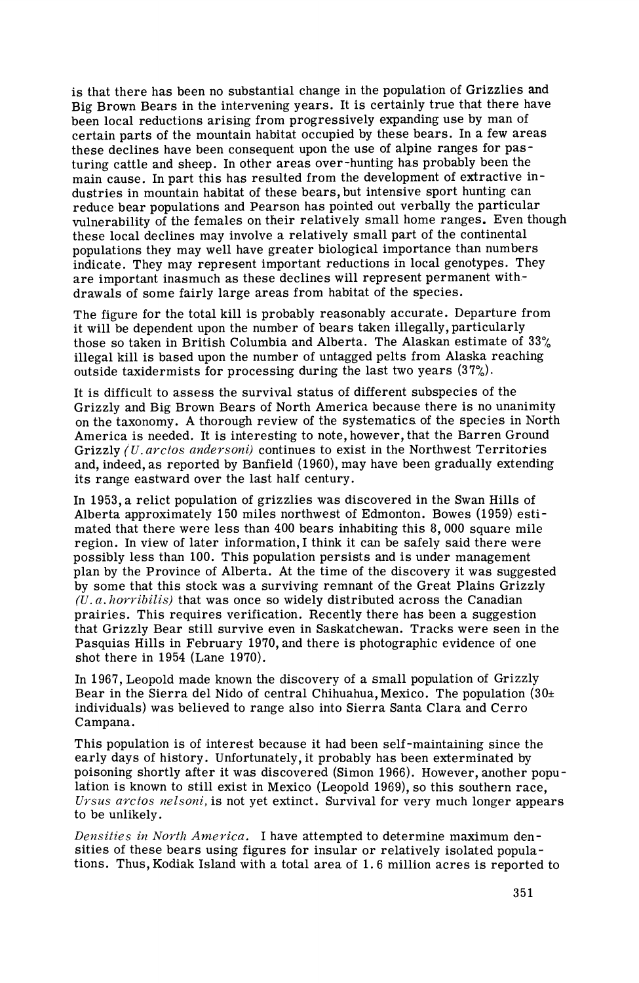is that there has been no substantial change in the population of Grizzlies and Big Brown Bears in the intervening years. It is certainly true that there have been local reductions arising from progressively expanding use by man of certain parts of the mountain habitat occupied by these bears. In a few areas these declines have been consequent upon the use of alpine ranges for pasturing cattle and sheep. In other areas over-hunting has probably been the main cause. In part this has resulted from the development of extractive industries in mountain habitat of these bears, but intensive sport hunting can reduce bear populations and Pearson has pointed out verbally the particular vulnerability of the females on their relatively small home ranges. Even though these local declines may involve a relatively small part of the continental populations they may well have greater biological importance than numbers indicate. They may represent important reductions in local genotypes. They are important inasmuch as these declines will represent permanent withdrawals of some fairly large areas from habitat of the species.

The figure for the total kill is probably reasonably accurate. Departure from it will be dependent upon the number of bears taken illegally, particularly those so taken in British Columbia and Alberta. The Alaskan estimate of 33% illegal kill is based upon the number of untagged pelts from Alaska reaching outside taxidermists for processing during the last two years (37%).

It is difficult to assess the survival status of different subspecies of the Grizzly and Big Brown Bears of North America because there is no unanimity on the taxonomy. A thorough review of the systematics of the species in North America is needed. It is interesting to note, however, that the Barren Ground Grizzly (U. arctos andersoni) continues to exist in the Northwest Territories and, indeed, as reported by Banfield (1960), may have been gradually extending its range eastward over the last half century.

In 1953, a relict population of grizzlies was discovered in the Swan Hills of Alberta approximately 150 miles northwest of Edmonton. Bowes (1959) estimated that there were less than 400 bears inhabiting this 8,000 square mile region. In view of later information, I think it can be safely said there were possibly less than 100. This population persists and is under management plan by the Province of Alberta. At the time of the discovery it was suggested by some that this stock was a surviving remnant of the Great Plains Grizzly *(U. a. horribilis)* that was once so widely distributed across the Canadian prairies. This requires verification. Recently there has been a suggestion that Grizzly Bear still survive even in Saskatchewan. Tracks were seen in the Pasquias Hills in February 1970, and there is photographic evidence of one shot there in 1954 (Lane 1970).

In 1967, Leopold made known the discovery of a small population of Grizzly Bear in the Sierra del Nido of central Chihuahua, Mexico. The population  $(30\pm$ individuals) was believed to range also into Sierra Santa Clara and Cerro C ampana.

This population is of interest because it had been self-maintaining since the early days of history. Unfortunately, it probably has been exterminated by poisoning shortly after it was discovered (Simon 1966). However, another population is known to still exist in Mexico (Leopold 1969), so this southern race, *Crsus arctos nelsoni*, is not yet extinct. Survival for very much longer appears to be unlikely.

*Densities in North America.* I have attempted to determine maximum densities of these bears using figures for insular or relatively isolated populations. Thus, Kodiak Island with a total area of 1.6 million acres is reported to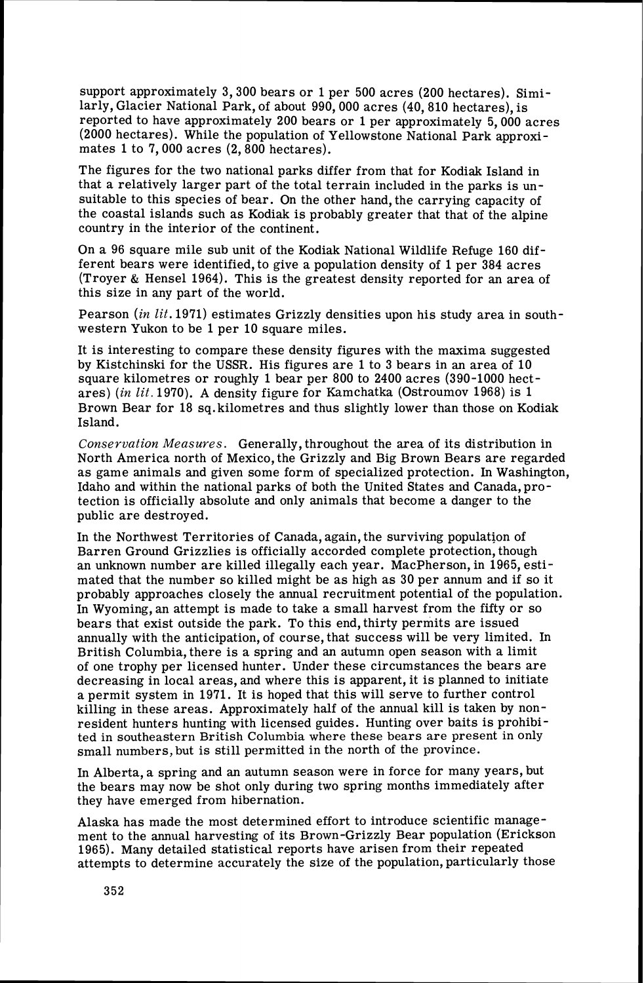support approximately 3,300 bears or 1 per 500 acres (200 hectares). Similarly, Glacier National Park, of about 990,000 acres (40,810 hectares), is reported to have approximately 200 bears or 1per approximately 5,000 acres (2000 hectares). While the population of Yellowstone National Park approximates 1 to 7,000 acres  $(2,800$  hectares).

The figures for the two national parks differ from that for Kodiak Island in that a relatively larger part of the total terrain included in the parks is unsuitable to this species of bear. On the other hand, the carrying capacity of the coastal islands such as Kodiak is probably greater that that of the alpine country in the interior of the continent.

On a 96 square mile sub unit of the Kodiak National Wildlife Refuge 160 different bears were identified, to give a population density of  $1$  per 384 acres (Troyer & Hensel 1964). This is the greatest density reported for an area of this size in any part of the world.

Pearson (in lit. 1971) estimates Grizzly densities upon his study area in southwestern Yukon to be 1 per 10 square miles.

It is interesting to compare these density figures with the maxima suggested by Kistchinski for the USSR. His figures are 1to 3 bears in an area of 10 square kilometres or roughly 1 bear per 800 to 2400 acres (390-1000 hectares) *(in* lit. 1970). *A* density figure for Kamchatka (Ostroumov 1968) is 1 Brown Bear for 18 sq. kilometres and thus slightly lower than those on Kodiak Island.

*Conservation Measures.* Generally, throughout the area of its distribution in North America north of Mexico, the Grizzly and Big Brown Bears are regarded as game animals and given some form of specialized protection. In Washington, Idaho and within the national parks of both the United States and Canada, protection is officially absolute and only animals that become a danger to the public are destroyed.

In the Northwest Territories of Canada, again, the surviving population of Barren Ground Grizzlies is officially accorded complete protection, though an unknown number are killed illegally each year. MacPherson, in 1965, estimated that the number so killed might be as high as 30 per annum and if so it probably approaches closely the annual recruitment potential of the population. In Wyoming, an attempt is made to take a small harvest from the fifty or so bears that exist outside the park. To this end, thirty permits are issued annually with the anticipation, of course, that success will be very limited. In British Columbia, there is a spring and an autumn open season with a limit of one trophy per licensed hunter. Under these circumstances the bears are decreasing in local areas, and where this is apparent, it is planned to initiate a permit system in 1971. It is hoped that this will serve to further control killing in these areas. Approximately half of the annual kill is taken by nonresident hunters hunting with licensed guides. Hunting over baits is prohibited in southeastern British Columbia where these bears are present in only small numbers, but is still permitted in the north of the province.

In Alberta, a spring and an autumn season were in force for many years, but the bears may now be shot only during two spring months immediately after they have emerged from hibernation.

Alaska has made the most determined effort to introduce scientific management to the annual harvesting of its Brown-Grizzly Bear population (Erickson 1965). Many detailed statistical reports have arisen from their repeated attempts to determine accurately the size of the population, particularly those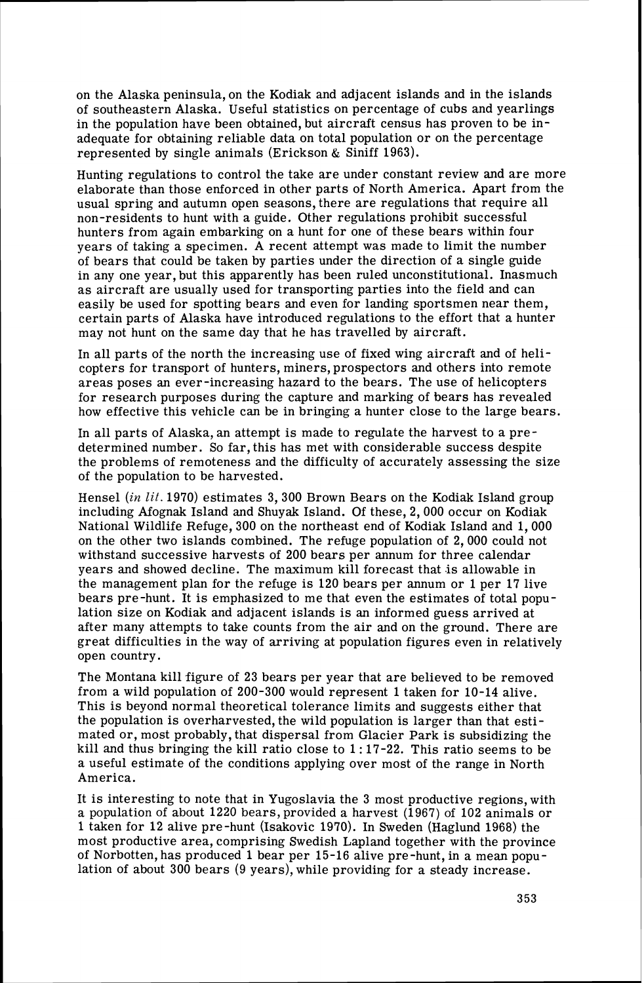on the Alaska peninsula, on the Kodiak and adjacent islands and in the islands of southeastern Alaska. Useful statistics on percentage of cubs and yearlings in the population have been obtained, but aircraft census has proven to be inadequate for obtaining reliable data on total population or on the percentage represented by single animals (Erickson & Siniff 1963).

Hunting regulations to control the take are under constant review and are more elaborate than those enforced in other parts of North America. Apart from the usual spring and autumn open seasons, there are regulations that require all non-residents to hunt with a guide. Other regulations prohibit successful hunters from again embarking on a hunt for one of these bears within four years of taking a specimen. A recent attempt was made to limit the number of bears that could be taken by parties under the direction of a single guide in any one year, but this apparently has been ruled unconstitutional. Inasmuch as aircraft are usually used for transporting parties into the field and can easily be used for spotting bears and even for landing sportsmen near them, certain parts of Alaska have introduced regulations to the effort that a hunter may not hunt on the same day that he has travelled by aircraft.

In all parts of the north the increasing use of fixed wing aircraft and of helicopters for transport of hunters, miners, prospectors and others into remote areas poses an ever-increasing hazard to the bears. The use of helicopters for research purposes during the capture and marking of bears has revealed how effective this vehicle can be in bringing a hunter close to the large bears.

In all parts of Alaska, an attempt is made to regulate the harvest to a predetermined number. So far, this has met with considerable success despite the problems of remoteness and the difficulty of accurately assessing the size of the population to be harvested.

Hensel **(in** lit. 1970) estimates 3, 300 Brown Bears on the Kodiak Island group including Afognak Island and Shuyak Island. Of these, 2,000 occur on Kodiak National Wildlife Refuge, 300 on the northeast end of Kodiak Island and 1,000 on the other two islands combined. The refuge population of 2,000 could not withstand successive harvests of 200 bears per annum for three calendar years and showed decline. The maximum kill forecast that is allowable in the management plan for the refuge is  $120$  bears per annum or 1 per 17 live bears pre-hunt. It is emphasized to me that even the estimates of total population size on Kodiak and adjacent islands is an informed guess arrived at after many attempts to take counts from the air and on the ground. There are great difficulties in the way of arriving at population figures even in relatively open country.

The Montana kill figure of 23 bears per year that are believed to be removed from a wild population of 200-300 would represent 1 taken for 10-14 alive. This is beyond normal theoretical tolerance limits and suggests either that the population is overharvested, the wild population is larger than that estimated or, most probably, that dispersal from Glacier Park is subsidizing the kill and thus bringing the kill ratio close to 1:17-22. This ratio seems to be a useful estimate of the conditions applying over most of the range in North America.

It is interesting to note that in Yugoslavia the 3 most productive regions, with a population of about 1220 bears, provided a harvest (1967) of 102 animals or 1 taken for 12 alive pre-hunt (Isakovic 1970). In Sweden (Haglund 1968) the most productive area, comprising Swedish Lapland together with the province of Norbotten, has produced 1bear per 15-16 alive pre-hunt, in a mean population of about 300 bears (9 years), while providing for a steady increase.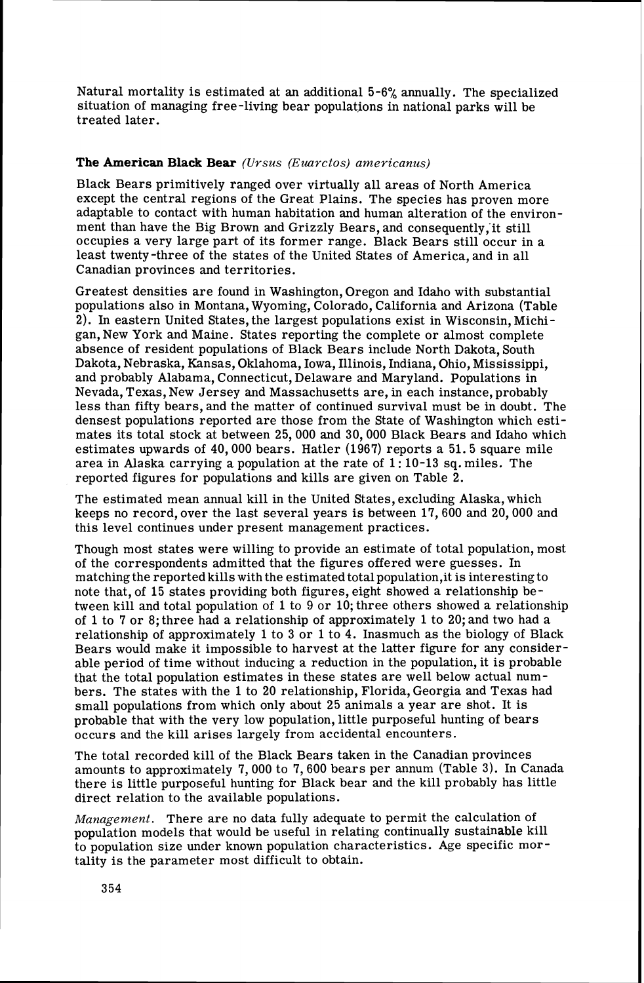Natural mortality is estimated at an additional **5-6'4** annually. The specialized situation of managing free-living bear populations in national parks will be treated later.

## The American Black **Bear** *(Ursus (Euarctos) americanus)*

Black Bears primitively ranged over virtually all areas of North America except the central regions of the Great Plains. The species has proven more adaptable to contact with human habitation and human alteration of the environment than have the Big Brown and Grizzly Bears, and consequently, it still occupies a very large part of its former range. Black Bears still occur in a least twenty -three of the states of the United States of America, and in all Canadian provinces and territories.

Greatest densities are found in Washington, Oregon and Idaho with substantial populations also in Montana, Wyoming, Colorado, California and Arizona (Table 2). In eastern United States, the largest populations exist in Wisconsin, Michigan, New York and Maine. States reporting the complete or almost complete absence of resident populations of Black Bears include North Dakota, South Dakota, Nebraska, Kansas, Oklahoma, Iowa, Illinois, Indiana, Ohio, Mississippi, and probably Alabama, Connecticut, Delaware and Maryland. Populations in Nevada, Texas, New Jersey and Massachusetts are, in each instance, probably less than fifty bears, and the matter of continued survival must be in doubt. The densest populations reported are those from the State of Washington which estimates its total stock at between 25, 000 and 30,000 Black Bears and Idaho which estimates upwards of 40,000 bears. Hatler (1967) reports a 51.5 square mile area in Alaska carrying a population at the rate of  $1:10-13$  sq. miles. The reported figures for populations and kills are given on Table 2.

The estimated mean annual kill in the United States, excluding Alaska, which keeps no record, over the last several years is between 17,600 and 20,000 and this level continues under present management practices.

Though most states were willing to provide an estimate of total population, most of the correspondents admitted that the figures offered were guesses. In matching the reported kills with the estimated total population, it is interesting to note that, of 15 states providing both figures, eight showed a relationship between kill and total population of 1 to 9 or 10; three others showed a relationship of 1to 7 or 8; three had a relationship of approximately 1to 20; and two had a relationship of approximately 1to **3** or 1to 4. Inasmuch as the biology of Black Bears would make it impossible to harvest at the latter figure for any considerable period of time without inducing a reduction in the population, it is probable that the total population estimates in these states are well below actual numbers. The states with the 1 to 20 relationship, Florida, Georgia and Texas had small populations from which only about 25 animals a year are shot. It is probable that with the very low population, little purposeful hunting of bears occurs and the kill arises largely from accidental encounters.

The total recorded kill of the Black Bears taken in the Canadian provinces amounts to approximately 7,000 to 7,600 bears per annum (Table 3). In Canada there is little purposeful hunting for Black bear and the kill probably has little direct relation to the available populations.

*Management.* There are no data fully adequate to permit the calculation of population models that would be useful in relating continually sustainable kill to population size under known population characteristics. Age specific mortality is the parameter most difficult to obtain.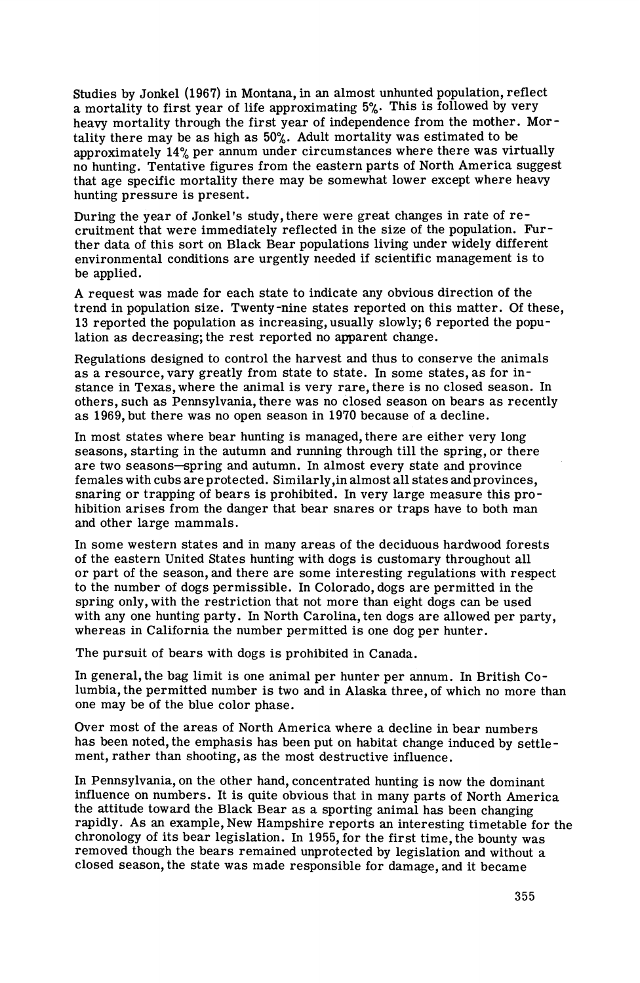Studies by Jonkel (1967) in Montana, in an almost unhunted population, reflect a mortality to first year of life approximating 5%. This is followed by very heavy mortality through the first year of independence from the mother. Mortality there may be as high as 50%. Adult mortality was estimated to be approximately  $14\%$  per annum under circumstances where there was virtually no hunting. Tentative figures from the eastern parts of North America suggest that age specific mortality there may be somewhat lower except where heavy hunting pressure is present.

During the year of Jonkel's study, there were great changes in rate of recruitment that were immediately reflected in the size of the population. Further data of this sort on Black Bear populations living under widely different environmental conditions are urgently needed if scientific management is to be applied.

A request was made for each state to indicate any obvious direction of the trend in population size. Twenty-nine states reported on this matter. Of these, 13 reported the population as increasing, usually slowly; 6 reported the population as decreasing; the rest reported no apparent change.

Regulations designed to control the harvest and thus to conserve the animals as a resource, vary greatly from state to state. In some states, as for instance in Texas, where the animal is very rare, there is no closed season. In others, such as Pennsylvania, there was no closed season on bears as recently as 1969, but there was no open season in 1970 because of a decline.

In most states where bear hunting is managed, there are either very long seasons, starting in the autumn and running through till the spring, or there are two seasons-spring and autumn. In almost every state and province females with cubs areprotected. Similarly,in almost all states andprovinces, snaring or trapping of bears is prohibited. In very large measure this prohibition arises from the danger that bear snares or traps have to both man and other large mammals.

In some western states and in many areas of the deciduous hardwood forests of the eastern United States hunting with dogs is customary throughout all or part of the season, and there are some interesting regulations with respect to the number of dogs permissible. In Colorado, dogs are permitted in the spring only, with the restriction that not more than eight dogs can be used with any one hunting party. In North Carolina, ten dogs are allowed per party, whereas in California the number permitted is one dog per hunter.

The pursuit of bears with dogs is prohibited in Canada.

In general, the bag limit is one animal per hunter per annum. In British Columbia, the permitted number is two and in Alaska three, of which no more than one may be of the blue color phase.

Over most of the areas of North America where a decline in bear numbers has been noted, the emphasis has been put on habitat change induced by settlement, rather than shooting, as the most destructive influence.

In Pennsylvania, on the other hand, concentrated hunting is now the dominant influence on numbers. It is quite obvious that in many parts of North America the attitude toward the Black Bear as a sporting animal has been changing rapidly. As an example, New Hampshire reports an interesting timetable for the chronology of its bear legislation. In 1955, for the first time, the bounty was removed though the bears remained unprotected by legislation and without a closed season, the state was made responsible for damage, and it became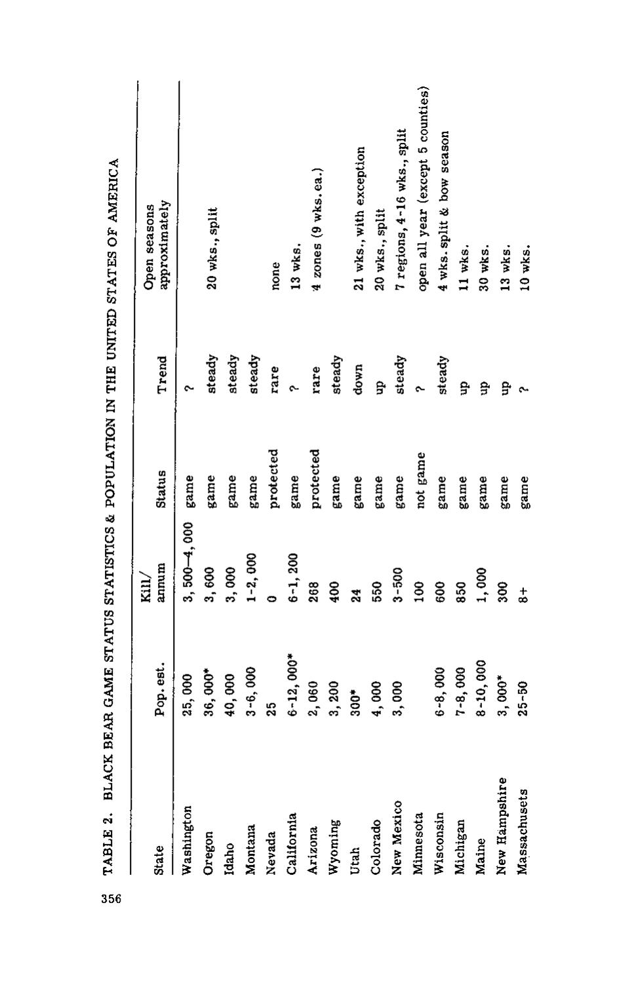|               |                            |                      |           |        | $\frac{1}{2}$                     |
|---------------|----------------------------|----------------------|-----------|--------|-----------------------------------|
| State         | Pop.est.                   | annum<br>$\rm{Kill}$ | Status    | Trend  | approximately<br>Open seasons     |
| Washington    | 25,000                     | $3,500 - 4,000$      | game      |        |                                   |
| Oregon        | $36,000*$                  | 3,600                | game      | steady | 20 wks., split                    |
| Idaho         | 40,000                     | 3,000                | game      | steady |                                   |
| Montana       | $3 - 6,000$                | $1 - 2,000$          | game      | steady |                                   |
| Nevada        | 25                         |                      | protected | rare   | none                              |
| California    | $2,000*$<br>$\ddot{\circ}$ | $6 - 1, 200$         | game      |        | 13 wks.                           |
| Arizona       | 2,060                      | 268                  | protected | rare   | $4$ zones $(9$ wks.ea.)           |
| Wyoming       | 3,200                      | 400                  | game      | steady |                                   |
| Utah          | $300*$                     | $\overline{24}$      | game      | down   | 21 wks., with exception           |
| Colorado      | 4,000                      | 550                  | game      | ਉ      | 20 wks., split                    |
| New Mexico    | 3,000                      | $3 - 500$            | game      | steady | 7 regions, 4-16 wks., split       |
| Minnesota     |                            | $\frac{8}{100}$      | not game  |        | open all year (except 5 counties) |
| Wisconsin     | $6 - 8,000$                | 600                  | game      | steady | 4 wks. split & bow season         |
| Michigan      | $7 - 8,000$                | 850                  | game      | 유      | 11 wks.                           |
| Maine         | 8-10,000                   | 1,000                | game      | ę      | 30 wks.                           |
| New Hampshire | $3,000*$                   | 300                  | game      | ę      | 13 wks.                           |
| Massachusets  | $25 - 50$                  | $\frac{1}{6}$        | game      |        | 10 wks.                           |

TABLE 2. BLACK BEAR GAME STATUS STATISTICS & POPULATION IN THE UNITED STATES OF AMERICA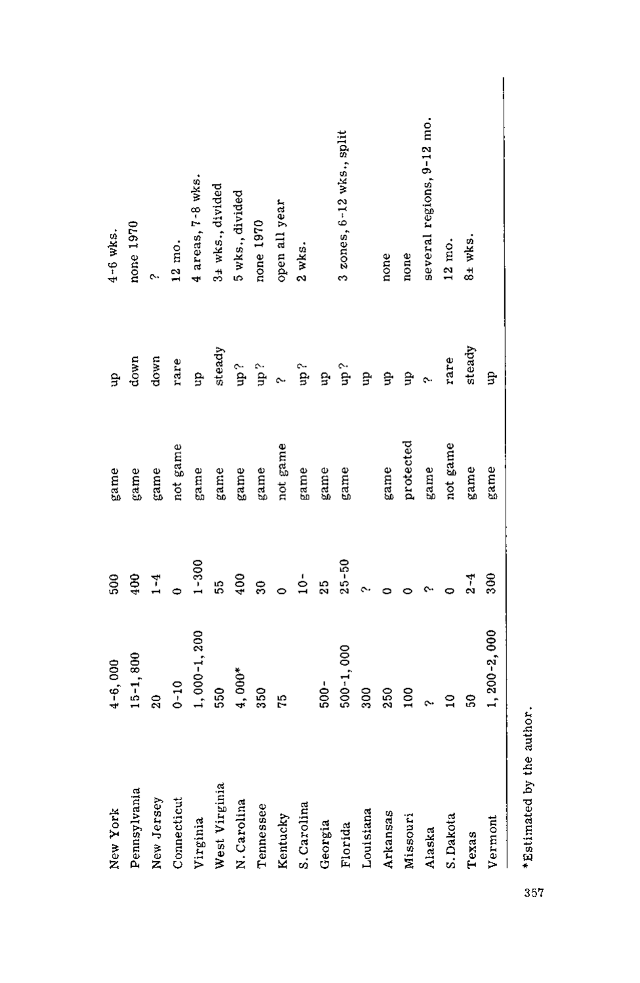| New York      | $4 - 6,000$       | 500                      | game      | ਖ਼੍ਰੇ   | $4-6$ wks.                    |
|---------------|-------------------|--------------------------|-----------|---------|-------------------------------|
| Pennsylvania  | $15 - 1,800$      | 400                      | game      | down    | none 1970                     |
| New Jersey    | $\overline{20}$   | $1 - 4$                  | game      | down    |                               |
| Connecticut   | $0 - 10$          |                          | not game  | rare    | $12 \text{ mo}$ .             |
| Virginia      | $1,000-1,200$     | $1 - 300$                | game      | đn      | 4 areas, 7-8 wks.             |
| West Virginia | 550               | 55                       | game      | steady  | 3± wks., divided              |
| N.Carolina    | $4,000*$          | 400                      | game      | ှင်။    | 5 wks., divided               |
| Tennessee     | 350               | g                        | game      | े<br>मृ | none 1970                     |
| Kentucky      | 51                | $\overline{\phantom{0}}$ | not game  |         | open all year                 |
| S. Carolina   |                   | $\frac{1}{2}$            | game      | ្មព្រ   | $2$ wks.                      |
| Georgia       | $500 -$           | $\frac{5}{2}$            | game      | g.      |                               |
| Florida       | $500 - 1,000$     | $25 - 50$                | game      | ុំ dn   | $3$ zones, $6-12$ wks., split |
| Louisiana     | 300               |                          |           | g       |                               |
| Arkansas      | 250               |                          | game      | g       | none                          |
| Missouri      | 100               |                          | protected | g       | none                          |
| Alaska        | $\sim$ 2          |                          | game      |         | several regions, 9-12 mo.     |
| S.Dakota      |                   |                          | not game  | rare    | 12 mo.                        |
| Texas         | ន្ល               | $2 - 4$                  | game      | steady  | $8±$ wks.                     |
| Vermont       | $1, 200 - 2, 000$ | 300                      | game      | g.      |                               |
|               |                   |                          |           |         |                               |

\*Estimated by the author.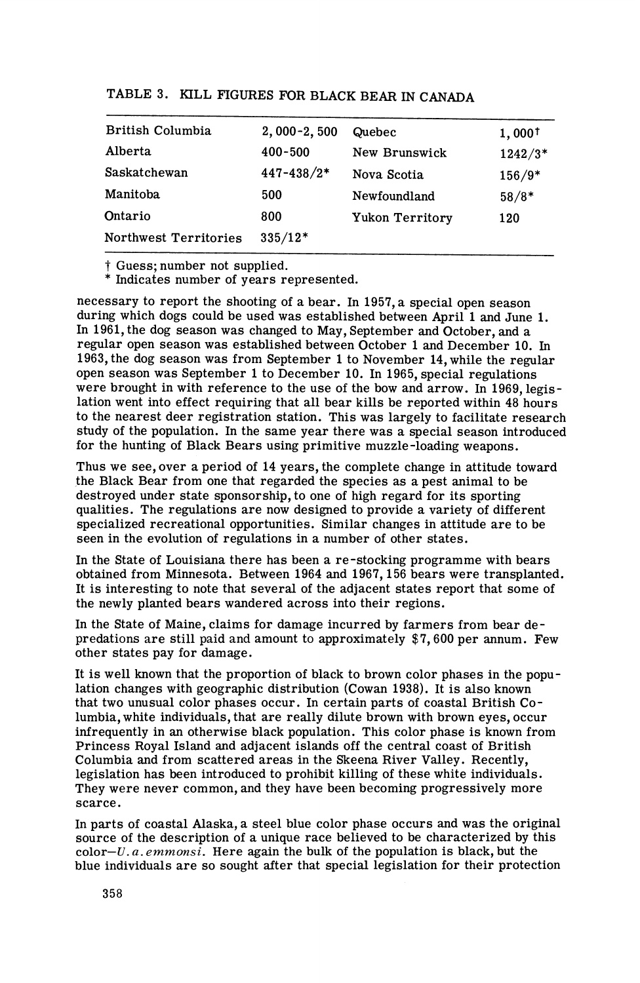| TABLE 3. KILL FIGURES FOR BLACK BEAR IN CANADA |  |  |  |
|------------------------------------------------|--|--|--|
|------------------------------------------------|--|--|--|

| British Columbia      | $2,000-2,500$ | Quebec          | $1,000^{\dagger}$ |
|-----------------------|---------------|-----------------|-------------------|
| Alberta               | $400 - 500$   | New Brunswick   | 1242/3*           |
| Saskatchewan          | 447-438/2*    | Nova Scotia     | $156/9*$          |
| Manitoba              | 500           | Newfoundland    | $58/8*$           |
| Ontario               | 800           | Yukon Territory | 120               |
| Northwest Territories | $335/12*$     |                 |                   |

t Guess; number not supplied. \* Indicates number of years represented.

necessary to report the shooting of a bear. In 1957, a special open season during which dogs could be used was established between April 1 and June 1. In 1961, the dog season was changed to May, September and October, and a regular open season was established between October 1 and December 10. In 1963, the dog season was from September 1to November 14, while the regular open season was September 1to December 10. In 1965, special regulations were brought in with reference to the use of the bow and arrow. In 1969, legislation went into effect requiring that all bear kills be reported within 48 hours to the nearest deer registration station. This was largely to facilitate research study of the population. In the same year there was a special season introduced for the hunting of Black Bears using primitive muzzle-loading weapons.

Thus we see, over a period of 14 years, the complete change in attitude toward the Black Bear from one that regarded the species as a pest animal to be destroyed under state sponsorship, to one of high regard for its sporting qualities. The regulations are now designed to provide a variety of different specialized recreational opportunities. Similar changes in attitude are to be seen in the evolution of regulations in a number of other states.

In the State of Louisiana there has been a re-stocking programme with bears obtained from Minnesota. Between 1964 and 1967,156 bears were transplanted. It is interesting to note that several of the adjacent states report that some of the newly planted bears wandered across into their regions.

In the State of Maine, claims for damage incurred by farmers from bear depredations are still paid and amount to approximately \$7,600 per annum. Few other states pay for damage.

It is well known that the proportion of black to brown color phases in the population changes with geographic distribution (Cowan 1938). It is also known that two unusual color phases occur. In certain parts of coastal British Columbia, white individuals, that are really dilute brown with brown eyes, occur infrequently in an otherwise black population. This color phase is known from Princess Royal Island and adjacent islands off the central coast of British Columbia and from scattered areas in the Skeena River Valley. Recently, legislation has been introduced to prohibit killing of these white individuals. They were never common, and they have been becoming progressively more scarce.

In parts of coastal Alaska, a steel blue color phase occurs and was the original source of the description of a unique race believed to be characterized by this color- $U$ , a. emmonsi. Here again the bulk of the population is black, but the blue individuals are so sought after that special legislation for their protection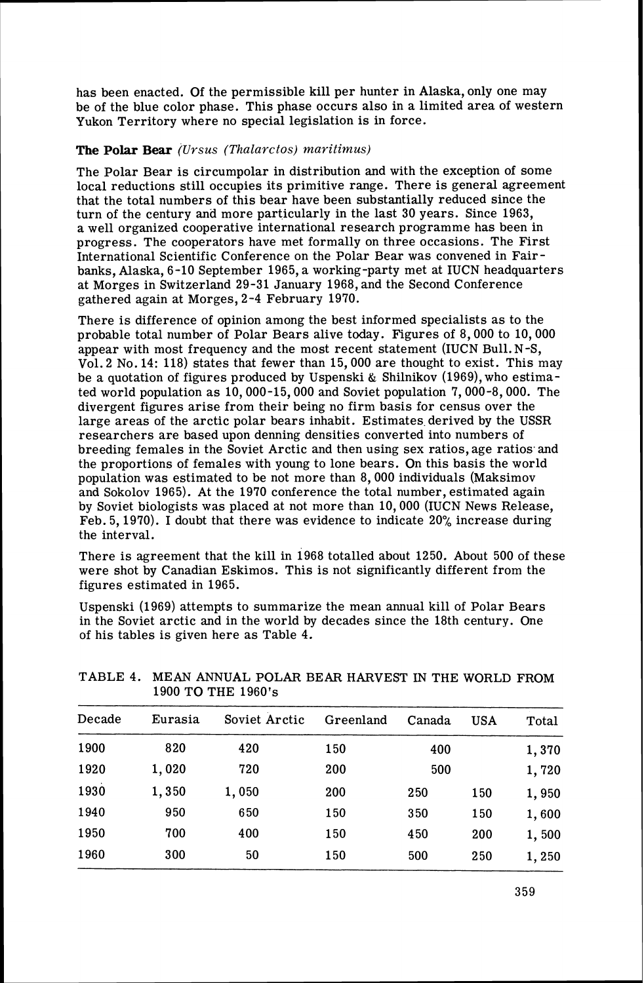has been enacted. Of the permissible kill per hunter in Alaska, only one may be of the blue color phase. This phase occurs also in a limited area of western Yukon Territory where no special legislation is in force.

# **The Polar Bear** *(Ursus (Thalarctos) maritimus)*

The Polar Bear is circumpolar in distribution and with the exception of some local reductions still occupies its primitive range. There is general agreement that the total numbers of this bear have been substantially reduced since the turn of the century and more particularly in the last 30 years. Since 1963, a well organized cooperative international research programme has been in progress. The cooperators have met formally on three occasions. The First International Scientific Conference on the Polar Bear was convened in Fairbanks, Alaska, 6-10 September 1965, a working-party met at IUCN headquarters at Morges in Switzerland 29-31 January 1968, and the Second Conference gathered again at Morges, 2-4 February 1970.

There is difference of opinion among the best informed specialists as to the probable total number of Polar Bears alive today. Figures of 8,000 to 10,000 appear with most frequency and the most recent statement (IUCN Bu1l.N-S, Vol. 2 No. 14: 118) states that fewer than 15,000 are thought to exist. This may be a quotation of figures produced by Uspenski & Shilnikov (1969), who estimated world population as 10,000-15,000 and Soviet population 7,000-8,000. The divergent figures arise from their being no firm basis for census over the large areas of the arctic polar bears inhabit. Estimates derived by the USSR researchers are based upon denning densities converted into numbers of breeding females in the Soviet Arctic and then using sex ratios, age ratios and the proportions of females with young to lone bears. On this basis the world population was estimated to be not more than 8, 000 individuals (Maksimov and Sokolov 1965). At the 1970 conference the total number, estimated again by Soviet biologists was placed at not more than 10,000 (IUCN News Release, Feb. 5,1970). I doubt that there was evidence to indicate 20% increase during the interval.

There is agreement that the kill in 1968 totalled about 1250. About 500 of these were shot by Canadian Eskimos. This is not significantly different from the figures estimated in 1965.

Uspenski (1969) attempts to summarize the mean annual kill of Polar Bears in the Soviet arctic and in the world by decades since the 18th century. One of his tables is given here as Table 4.

| Decade | Eurasia | Soviet Arctic | Greenland | Canada | <b>USA</b> | Total |
|--------|---------|---------------|-----------|--------|------------|-------|
| 1900   | 820     | 420           | 150       | 400    |            | 1,370 |
| 1920   | 1,020   | 720           | 200       | 500    |            | 1,720 |
| 1930   | 1,350   | 1,050         | 200       | 250    | 150        | 1,950 |
| 1940   | 950     | 650           | 150       | 350    | 150        | 1,600 |
| 1950   | 700     | 400           | 150       | 450    | 200        | 1,500 |
| 1960   | 300     | 50            | 150       | 500    | 250        | 1,250 |

TABLE 4. MEAN ANNUAL POLAR BEAR HARVEST IN THE WORLD FROM 1900 TO THE 1960's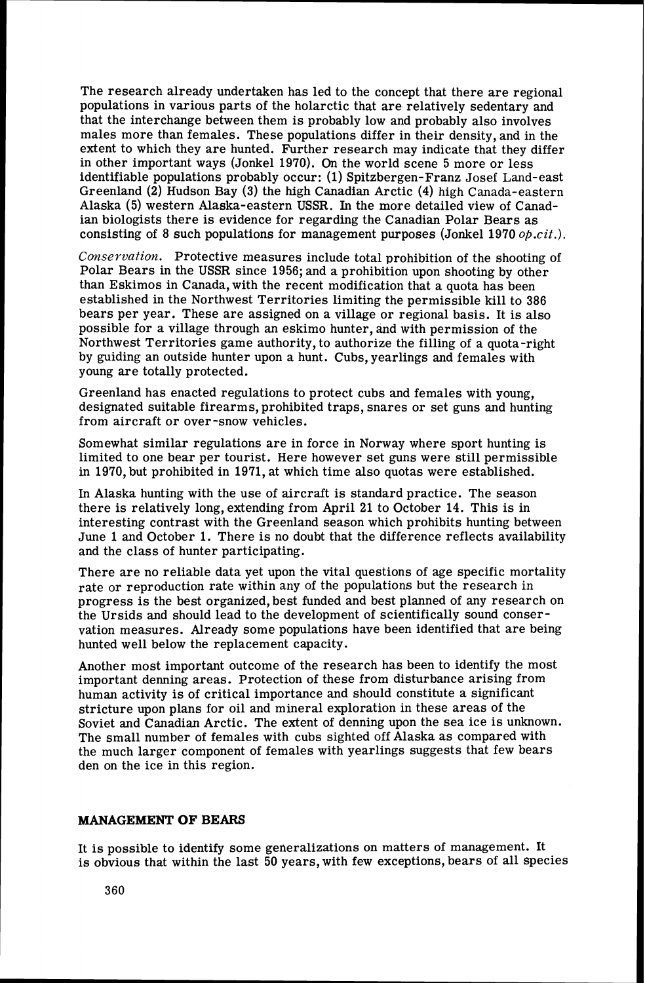The research already undertaken has led to the concept that there are regional populations in various parts of the holarctic that are relatively sedentary and that the interchange between them is probably low and probably also involves males more than females. These populations differ in their density, and in the extent to which they are hunted. Further research may indicate that they differ in other important ways (Jonkel 1970). On the world scene 5 more or less identifiable populations probably occur: (1) Spitzbergen-Franz Josef Land-east Greenland **(2)** Hudson Bay **(3)** the high Canadian Arctic (4) high Canada-eastern Alaska (5) western Alaska-eastern USSR. In the more detailed view of Canadian biologists there is evidence for regarding the Canadian Polar Bears as consisting of 8 such populations for management purposes (Jonkel 1970 *0p.cit.j.* 

Conservation. Protective measures include total prohibition of the shooting of Polar Bears in the USSR since 1956; and a prohibition upon shooting by other than Eskimos in Canada, with the recent modification that a quota has been established in the Northwest Territories limiting the permissible kill to 386 bears per year. These are assigned on a village or regional basis. It is also possible for a village through an eskimo hunter, and with permission of the Northwest Territories game authority, to authorize the filling of a quota-right by guiding an outside hunter upon a hunt. Cubs, yearlings and females with young are totally protected.

Greenland has enacted regulations to protect cubs and females with young, designated suitable firearms, prohibited traps, snares or set guns and hunting from aircraft or over-snow vehicles.

Somewhat similar regulations are in force in Norway where sport hunting is limited to one bear per tourist. Here however set guns were still permissible in 1970, but prohibited in 1971, at which time also quotas were established.

In Alaska hunting with the use of aircraft is standard practice. The season there is relatively long, extending from April 21 to October 14. This is in interesting contrast with the Greenland season which prohibits hunting between June 1 and October 1. There is no doubt that the difference reflects availability and the class of hunter participating.

There are no reliable data yet upon the vital questions of age specific mortality rate or reproduction rate within any of the populations but the research in progress is the best organized, best funded and best planned of any research on the Ursids and should lead to the development of scientifically sound conservation measures. Already some populations have been identified that are being hunted well below the replacement capacity.

Another most important outcome of the research has been to identify the most important denning areas. Protection of these from disturbance arising from human activity is of critical importance and should constitute a significant stricture upon plans for oil and mineral exploration in these areas of the Soviet and Canadian Arctic. The extent of denning upon the sea ice is unknown. The small number of females with cubs sighted off Alaska as compared with the much larger component of females with yearlings suggests that few bears den on the ice in this region.

#### **MANAGEMENT OF BEARS**

It is possible to identify some generalizations on matters of management. It is obvious that within the last 50 years, with few exceptions, bears of all species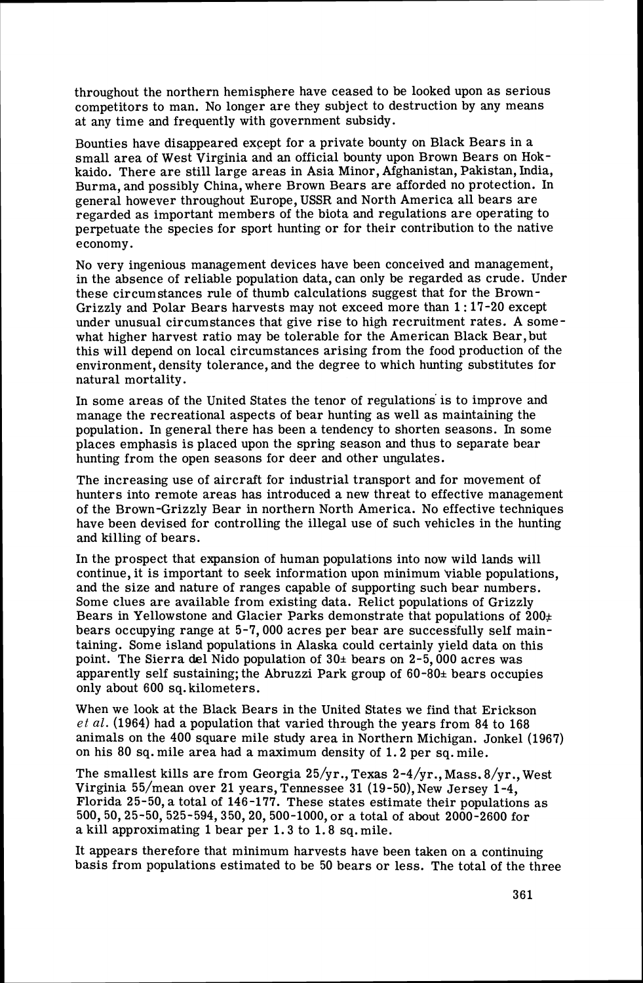throughout the northern hemisphere have ceased to be looked upon as serious competitors to man. No longer are they subject to destruction by any means at any time and frequently with government subsidy.

Bounties have disappeared except for a private bounty on Black Bears in a small area of West Virginia and an official bounty upon Brown Bears on Hokkaido. There are still large areas in Asia Minor, Afghanistan, Pakistan, India, Burma, and possibly China, where Brown Bears are afforded no protection. In general however throughout Europe, USSR and North America all bears are regarded as important members of the biota and regulations are operating to perpetuate the species for sport hunting or for their contribution to the native economy.

No very ingenious management devices have been conceived and management, in the absence of reliable population data, can only be regarded as crude. Under these circumstances rule of thumb calculations suggest that for the Brown-Grizzly and Polar Bears harvests may not exceed more than 1:17-20 except under unusual circumstances that give rise to high recruitment rates. A somewhat higher harvest ratio may be tolerable for the American Black Bear, but this will depend on local circumstances arising from the food production of the environment, density tolerance, and the degree to which hunting substitutes for natural mortality.

In some areas of the United States the tenor of regulations' is to improve and manage the recreational aspects of bear hunting as well as maintaining the population. In general there has been a tendency to shorten seasons. In some places emphasis is placed upon the spring season and thus to separate bear hunting from the open seasons for deer and other ungulates.

The increasing use of aircraft for industrial transport and for movement of hunters into remote areas has introduced a new threat to effective management of the Brown-Grizzly Bear in northern North America. No effective techniques have been devised for controlling the illegal use of such vehicles in the hunting and killing of bears.

In the prospect that expansion of human populations into now wild lands will continue, it is important to seek information upon minimum viable populations. and the size and nature of ranges capable of supporting such bear numbers. Some clues are available from existing data. Relict populations of Grizzly Bears in Yellowstone and Glacier Parks demonstrate that populations of  $200<sub>\pm</sub>$ bears occupying range at 5-7,000 acres per bear are successfully self maintaining. Some island populations in Alaska could certainly yield data on this point. The Sierra del Nido population of  $30<sub>±</sub>$  bears on 2-5,000 acres was apparently self sustaining; the Abruzzi Park group of  $60-80<sub>±</sub>$  bears occupies only about 600 sq. kilometers.

When we look at the Black Bears in the United States we find that Erickson *et al.* (1964) had a population that varied through the years from 84 to 168 animals on the 400 square mile study area in Northern Michigan. Jonkel (1967) on his 80 sq. mile area had a maximum density of 1.2 per sq. mile.

The smallest kills are from Georgia 25/yr., Texas 2-4/yr., Mass. 8/yr., West Virginia 55/mean over 21 years, Tennessee 31 (19-50), New Jersey 1-4, Florida 25-50, a total of 146-177. These states estimate their populations as 500,50,25-50,525-594,350,20,500-1000, or a total of about 2000-2600 for a kill approximating 1bear per 1.3 to 1.8 sq.mile.

It appears therefore that minimum harvests have been taken on a continuing basis from populations estimated to be 50 bears or less. The total of the three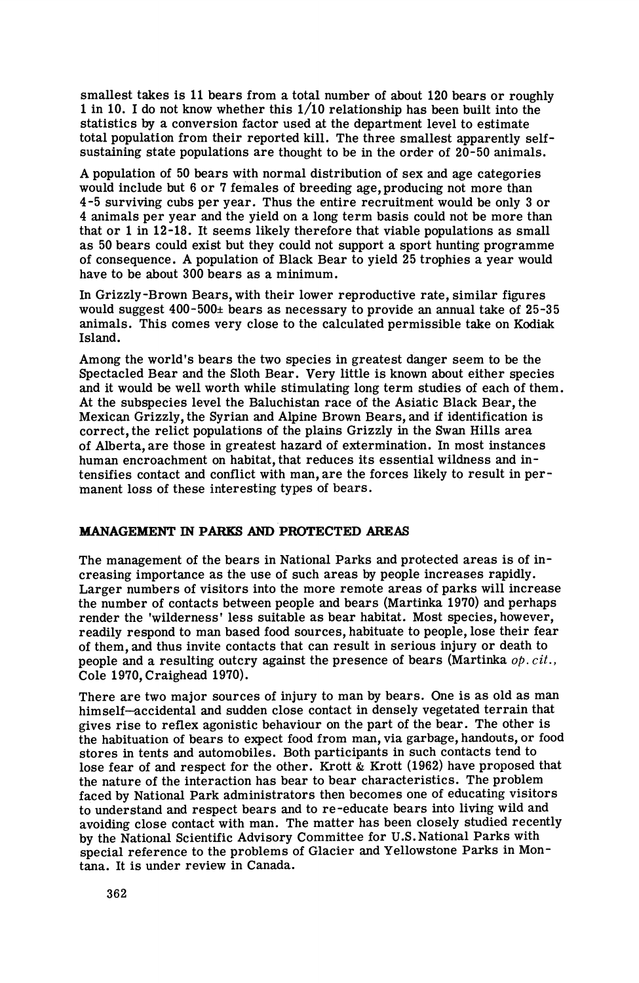smallest takes is 11bears from a total number of about 120 bears or roughly 1in 10. I do not know whether this 1/10 relationship has been built into the statistics by a conversion factor used at the department level to estimate total population from their reported kill. The three smallest apparently selfsustaining state populations are thought to be in the order of 20-50 animals.

A population of 50 bears with normal distribution of sex and age categories would include but 6 or 7 females of breeding age, producing not more than 4-5 surviving cubs per year. Thus the entire recruitment would be only 3 or 4 animals per year and the yield on a long term basis could not be more than that or 1 in 12-18. It seems likely therefore that viable populations as small as 50 bears could exist but they could not support a sport hunting programme of consequence. A population of Black Bear to yield 25 trophies a year would have to be about 300 bears as a minimum.

In Grizzly-Brown Bears, with their lower reproductive rate, similar figures would suggest  $400 - 500$ ± bears as necessary to provide an annual take of 25-35 animals. This comes very close to the calculated permissible take on Kodiak Island.

Among the world's bears the two species in greatest danger seem to be the Spectacled Bear and the Sloth Bear. Very little is known about either species and it would be well worth while stimulating long term studies of each of them. At the subspecies level the Baluchistan race of the Asiatic Black Bear, the Mexican Grizzly, the Syrian and Alpine Brown Bears, and if identification is correct, the relict populations of the plains Grizzly in the Swan Hills area of Alberta, are those in greatest hazard of extermination. In most instances human encroachment on habitat, that reduces its essential wildness and intensifies contact and conflict with man, are the forces likely to result in permanent loss of these interesting types of bears.

## **MANAGEMENT IN PARKS AND PROTECTED AREAS**

The management of the bears in National Parks and protected areas is of increasing importance as the use of such areas by people increases rapidly. Larger numbers of visitors into the more remote areas of parks will increase the number of contacts between people and bears (Martinka 1970) and perhaps render the 'wilderness' less suitable as bear habitat. Most species, however, readily respond to man based food sources, habituate to people, lose their fear of them, and thus invite contacts that can result in serious injury or death to people and a resulting outcry against the presence of bears (Martinka  $\phi p. cit.$ ) Cole 1970, Craighead 1970).

There are two major sources of injury to man by bears. One is as old as man himself-accidental and sudden close contact in densely vegetated terrain that gives rise to reflex agonistic behaviour on the part of the bear. The other is the habituation of bears to expect food from man, via garbage, handouts, or food stores in tents and automobiles. Both participants in such contacts tend to lose fear of and respect for the other. Krott & Krott (1962) have proposed that the nature of the interaction has bear to bear characteristics. The problem faced by National Park administrators then becomes one of educating visitors to understand and respect bears and to re-educate bears into living wild and avoiding close contact with man. The matter has been closely studied recently by the National Scientific Advisory Committee for U.S. National Parks with special reference to the problems of Glacier and Yellowstone Parks in Montana. It is under review in Canada.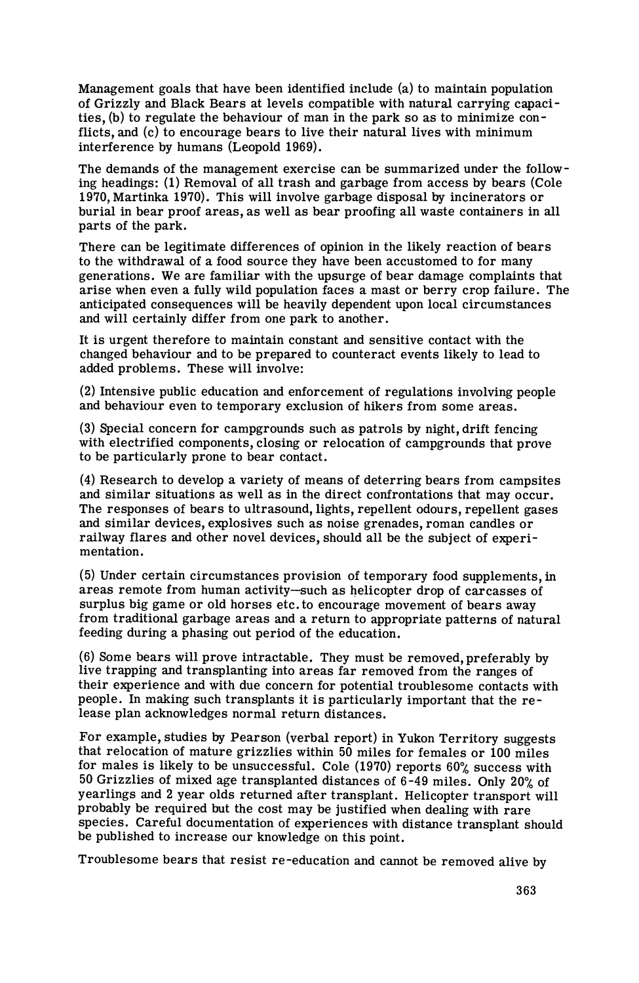Management goals that have been identified include (a) to maintain population of Grizzly and Black Bears at levels compatible with natural carrying capacities, (b) to regulate the behaviour of man in the park so as to minimize conflicts, and (c) to encourage bears to live their natural lives with minimum interference by humans (Leopold 1969).

The demands of the management exercise can be summarized under the following headings: (1) Removal of all trash and garbage from access by bears (Cole 1970, Martinka 1970). This will involve garbage disposal by incinerators or burial in bear proof areas, as well as bear proofing all waste containers in all parts of the park.

There can be legitimate differences of opinion in the likely reaction of bears to the withdrawal of a food source they have been accustomed to for many generations. We are familiar with the upsurge of bear damage complaints that arise when even a fully wild population faces a mast or berry crop failure. The anticipated consequences will be heavily dependent upon local circumstances and will certainly differ from one park to another.

It is urgent therefore to maintain constant and sensitive contact with the changed behaviour and to be prepared to counteract events likely to lead to added problems. These will involve:

(2) Intensive public education and enforcement of regulations involving people and behaviour even to temporary exclusion of hikers from some areas.

**(3)** Special concern for campgrounds such as patrols by night, drift fencing with electrified components, closing or relocation of campgrounds that prove to be particularly prone to bear contact.

(4) Research to develop a variety of means of deterring bears from campsites and similar situations as well as in the direct confrontations that may occur. The responses of bears to ultrasound, lights, repellent odours, repellent gases and similar devices, explosives such as noise grenades, roman candles or railway flares and other novel devices, should all be the subject of experimentation.

(5) Under certain circumstances provision of temporary food supplements, in areas remote from human activity-such as helicopter drop of carcasses of surplus big game or old horses etc. to encourage movement of bears away from traditional garbage areas and a return to appropriate patterns of natural feeding during a phasing out period of the education.

(6) Some bears will prove intractable. They must be removed, preferably by live trapping and transplanting into areas far removed from the ranges of their experience and with due concern for potential troublesome contacts with people. In making such transplants it is particularly important that the release plan acknowledges normal return distances.

For example, studies by Pearson (verbal report) in Yukon Territory suggests that relocation of mature grizzlies within 50 miles for females or 100 miles for males is likely to be unsuccessful. Cole (1970) reports  $60\%$  success with 50 Grizzlies of mixed age transplanted distances of 6-49 miles. Only 20% of yearlings and 2 year olds returned after transplant. Helicopter transport will probably be required but the cost may be justified when dealing with rare species. Careful documentation of experiences with distance transplant should be published to increase our knowledge on this point.

Troublesome bears that resist re-education and cannot be removed alive by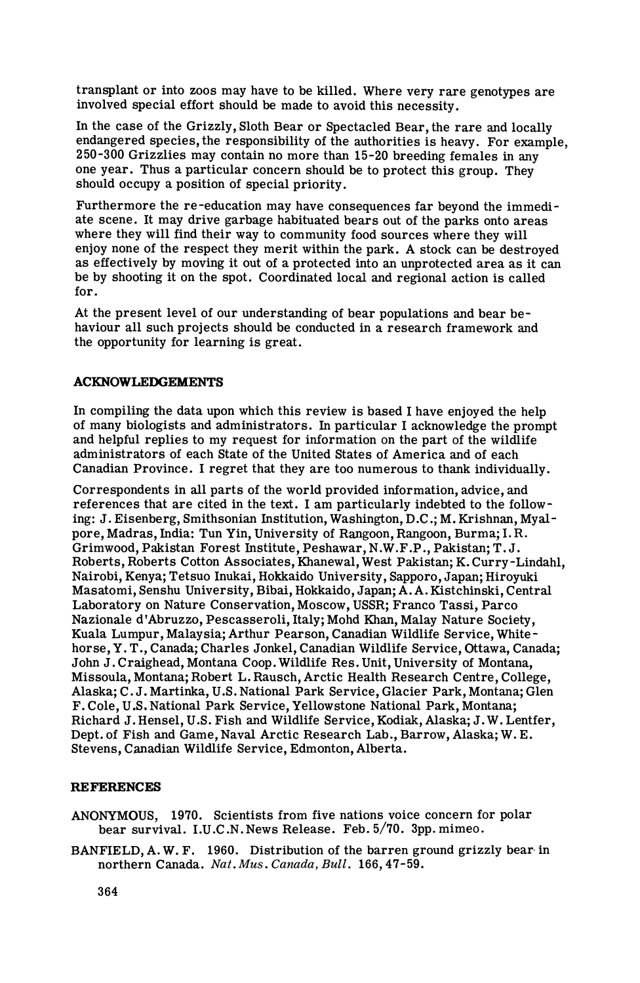transplant or into zoos may have to be killed. Where very rare genotypes are involved special effort should be made to avoid this necessity.

In the case of the Grizzly, Sloth Bear or Spectacled Bear, the rare and locally endangered species, the responsibility of the authorities is heavy. For example, 250-300 Grizzlies may contain no more than 15-20 breeding females in any one year. Thus a particular concern should be to protect this group. They should occupy a position of special priority.

Furthermore the re-education may have consequences far beyond the immediate scene. It may drive garbage habituated bears out of the parks onto areas where they will find their way to community food sources where they will enjoy none of the respect they merit within the park. A stock can be destroyed as effectively by moving it out of a protected into an unprotected area as it can be by shooting it on the spot. Coordinated local and regional action is called for.

At the present level of our understanding of bear populations and bear behaviour all such projects should be conducted in a research framework and the opportunity for learning is great.

#### **ACKNOWLEDGEMENTS**

In compiling the data upon which this review is based I have enjoyed the help of many biologists and administrators. In particular I acknowledge the prompt and helpful replies to my request for information on the part of the wildlife administrators of each State of the United States of America and of each Canadian Province. I regret that they are too numerous to thank individually.

Correspondents in all parts of the world provided information, advice, and references that are cited in the text. I am particularly indebted to the following: J. Eisenberg, Smithsonian Institution, Washington, D.C.; M. Krishnan, Myalpore, Madras, India: Tun Yin, University of Rangoon, Rangoon, Burma; I.R. Grimwood, Pakistan Forest Institute, Peshawar, N.W.F.P., Pakistan; T. J. Roberts, Roberts Cotton Associates, Khanewal, West Pakistan; K. Curry -Lindahl, Nairobi, Kenya; Tetsuo Inukai, Hokkaido University, Sapporo, Japan; Hiroyuki Masatomi, Senshu University, Bibai, Hokkaido, Japan; A. A. Kistchinski, Central Laboratory on Nature Conservation, Moscow, USSR; Franco Tassi, Parco Nazionale d'Abruzzo, Pescasseroli, Italy; Mohd Khan, Malay Nature Society, Kuala Lumpur, Malaysia; Arthur Pearson, Canadian Wildlife Service, White horse, Y. T., Canada; Charles Jonkel, Canadian Wildlife Service, Ottawa, Canada; John J.Craighead, Montana Coop. Wildlife Res. Unit, University of Montana, Missoula, Montana; Robert L. Rausch, Arctic Health Research Centre, College, Alaska; C. J.Martinka, U.S. National Park Service, Glacier Park, Montana; Glen F. Cole, U.S. National Park Service, Yellowstone National Park, Montana; Richard J. Hensel, U.S. Fish and Wildlife Service, Kodiak, Alaska; J.W. Lentfer, Dept. of Fish and Game, Naval Arctic Research Lab., Barrow, Alaska; W. E. Stevens, Canadian Wildlife Service, Edmonton, Alberta.

#### **REFERENCES**

- ANONYMOUS, 1970. Scientists from five nations voice concern for polar bear survival. 1.U.C .N. News Release. Feb. 5/70. 3pp. mimeo.
- BANFIELD, A. W. F. 1960. Distribution of the barren ground grizzly bear. in northern Canada. Nat. Mus. Canada, Bull. 166, 47-59.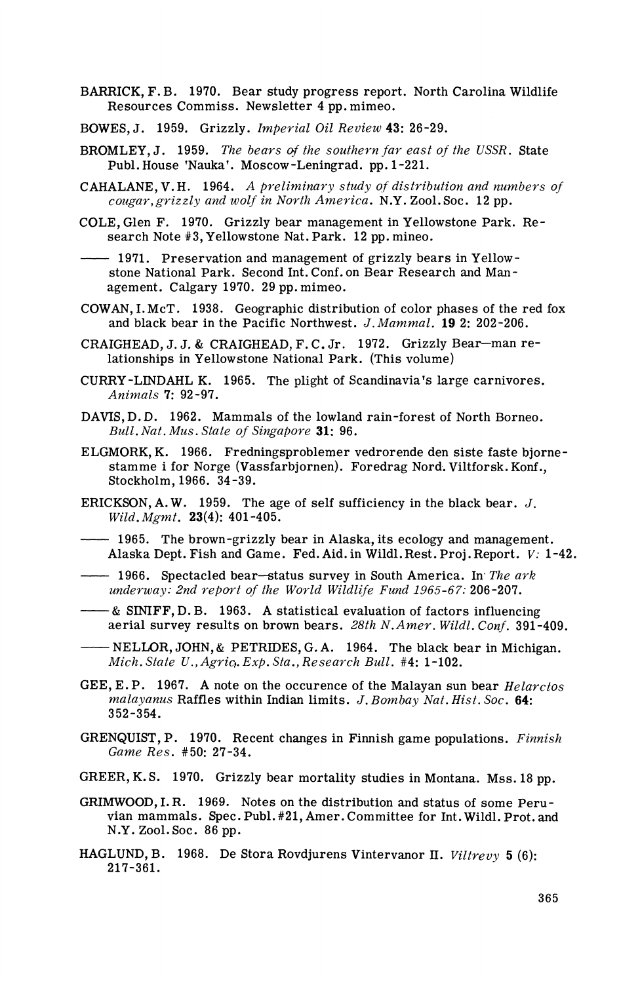- BARRICK, F. B. 1970. Bear study progress report. North Carolina Wildlife Resources Commiss. Newsletter 4 pp. mimeo.
- BOWES, J. 1959. Grizzly. *Imperial Oil Review 43:* 26-29.
- BROMLEY, J. 1959. *The bears of the southern far east of the USSR*. State Publ. House 'Nauka'. Moscow-Leningrad. pp. 1-221.
- CAHALANE, V. H. 1964. *A preliminary study of distribution and numbers of*<br> *cougar, grizzly and wolf in North America.* N.Y. Zool. Soc. 12 pp.<br>
COLE, Glen F. 1970. Grizzly bear management in Yellow stone Park. Research No *cougar, grizzly and wolf in North America.* N.Y. Zool. Soc. 12 pp.
- COLE, Glen F. 1970. Grizzly bear management in Yellowstone Park. Research Note #3,Yellowstone Nat.Park. 12 pp.mineo.

agement. Calgary 1970. 29 pp. mimeo.

- COWAN, I.McT. 1938. Geographic distribution of color phases of the red fox and black bear in the Pacific Northwest. J. Mammal. 19 2: 202-206.
- CRAIGHEAD, J.J. & CRAIGHEAD, F. C. Jr. 1972. Grizzly Bear-man relationships in Yellowstone National Park. (This volume)
- CURRY-LINDAHL K. 1965. The plight of Scandinavia's large carnivores. *Aniwzals 7:* 92-97.
- DAVIS, D. D. 1962. Mammals of the lowland rain-forest of North Borneo. *Bull. Nat. MUS. State of Singapore* 31: 96.
- ELGMORK, K. 1966. Fredningsproblemer vedrorende den siste faste bjornestamme i for Norge (Vassfarbjornen). Foredrag Nord. Viltforsk. Konf., Stockholm, 1966. 34-39. stamme i for Norge (Vassfarbjornen). Foredrag Nord. Viltforsk. Konf.,<br>
Stockholm, 1966. 34-39.<br>
ERICKSON, A.W. 1959. The age of self sufficiency in the black bear. J.<br> *Wild. Mgmt.* 23(4): 401-405.<br> **1965.** The brown-grizz
- ERICKSON, A.W. 1959. The age of self sufficiency in the black bear.  $J$ . *Wild. Mgmt.* 23(4): 401-405.
- ERICKSON, A.W. 1959. The age of self sufficiency in the black bear. J.<br>Wild. Mgmt. 23(4): 401-405.<br>1965. The brown-grizzly bear in Alaska, its ecology and manageme:<br>Alaska Dept. Fish and Game. Fed. Aid. in Wildl. Rest. Pro 1965. The brown-grizzly bear in Alaska, its ecology and managemen<br>Alaska Dept. Fish and Game. Fed. Aid. in Wildl. Rest. Proj. Report. V:<br>----- 1966. Spectacled bear-status survey in South America. In The ark<br>underway: 2nd
- *underway: 2nd repwt of the World Wildlife Fund 1965-67:* 206-207.
- aerial survey results on brown bears. *28th N.Amer. Wildl. Conf.* 391-409. - 1966. Spectacled bear-status survey in South America. In The ark underway: 2nd report of the World Wildlife Fund 1965-67: 206-207.<br>- & SINIFF, D. B. 1963. A statistical evaluation of factors influencing aerial survey re
- *Mich. State U., Agric. Exp. Sta., Research Bull.* #4: 1-102.
- GEE, E. P. 1967. A note on the occurence of the Malayan sun bear *Helarctos malayanus Raffles within Indian limits. J. Bombay Nat. Hist. Soc.* 64: 352-354.
- GRENQUIST, P. 1970. Recent changes in Finnish game populations. *Finnish Game Res.* #50: 27-34.
- GREER, K. S. 1970. Grizzly bear mortality studies in Montana. Mss. 18 pp.
- GRIMWOOD,I. R. 1969. Notes on the distribution and status of some Peruvian mammals. Spec. Publ. #21, Amer. Committee for Int. Wildl. Prot. and N.Y. Zool.Soc. 86 pp.
- HAGLUND, B. 1968. De Stora Rovdjurens Vintervanor II. *Viltrevy* 5 (6): 217-361.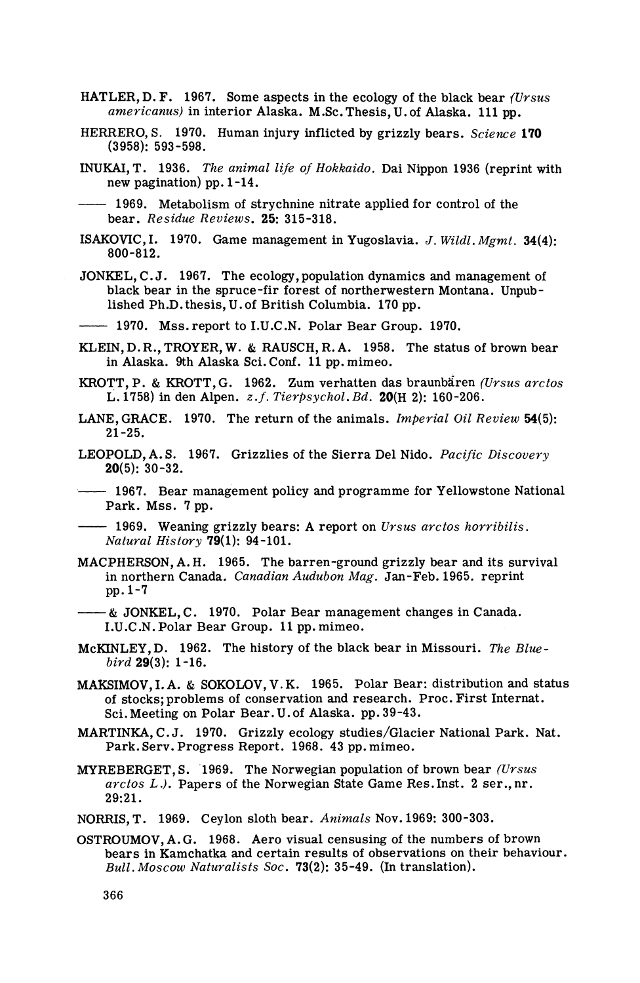- HATLER, D. F. 1967. Some aspects in the ecology of the black bear *{Ursus americanus*) in interior Alaska. M.Sc. Thesis, U. of Alaska. 111 pp.
- HERRERO, S. 1970. Human injury inflicted by grizzly bears. *Science* 170 (3958): 593-598.
- **INUKAI,** T. 1936. *The animal life of liokkaido.* Dai Nippon 1936 (reprint with new pagination) pp. 1-14. HERRERO, S. 1970. Human injury inflicted by grizzly bears. Science (3958): 593-598.<br>
INUKAI, T. 1936. The animal life of Hokkaido. Dai Nippon 1936 (reprime applied for control of the bear. Residue Reviews. 25: 315-318.

bear. *Residue Reviews.* 25: 315-318.

- ISAKOVIC, I. 1970. Game management in Yugoslavia. *J. Wildl. Mgmt.* 34(4): 800-812.
- JONKEL, C. J. 1967. The ecology, population dynamics and management of black bear in the spruce-fir forest of northerwestern Montana. Unpublished Ph.D. thesis, U. of British Columbia. 170 pp. 800-812.<br>JONKEL, C.J. 1967. The ecology, population dynamics and m<br>black bear in the spruce-fir forest of northerwestern Mont<br>lished Ph.D.thesis, U.of British Columbia. 170 pp.<br>—— 1970. Mss. report to I.U.C.N. Polar Bear G

- KLEIN, D. R., TROYER, W. & RAUSCH, R. **A.** 1958. The status of brown bear in Alaska. 9th Alaska Sci. Conf. 11 pp. mimeo.
- KROTT, P. & KROTT, G. 1962. Zum verhatten das braunbaren *(Ursus arctos*  L. 1758) in den Alpen. z. *f. Tierpsychol. Bd.* 20(H 2): 160-206.
- LANE, GRACE. 1970. The return of the animals. *Imperial Oil Review* 54(5): 21-25.
- LEOPOLD, A. S. 1967. Grizzlies of the Sierra Del Nido. *Pacific Discovery*   $20(5): 30-32.$
- -1967. Bear management policy and programme for Yellowstone National Park. Mss. 7 pp.

-1969. Weaning grizzly bears: A report on *Ursus arctos horribilis. Natural Histmy* 79(1): 94-101.

- MACPHERSON, A. H. 1965. The barren-ground grizzly bear and its survival in northern Canada. *Canadian Audubon Mag.* Jan-Feb. 1965. reprint pp. 1-7 Natural History 79(1): 94-101.<br>
MACPHERSON, A.H. 1965. The barren-ground grizzly bear and its sum<br>
in northern Canada. *Canadian Audubon Mag*. Jan-Feb. 1965. reprint<br>
pp. 1-7<br>
— & JONKEL, C. 1970. Polar Bear management ch
	- & JONKEL, C. 1970. Polar Bear management changes in Canada.<br>I.U.C.N. Polar Bear Group. 11 pp. mimeo.
- McKINLEY, D. 1962. The history of the black bear in Missouri. *The Bluebird* 29(3): 1-16.
- MAKSIMOV, I. A. & SOKOLOV, V. K. 1965. Polar Bear: distribution and status of stocks; problems of conservation and research. Proc. First Internat. Sci. Meeting on Polar Bear. U. of Alaska. pp. 39-43.
- MARTINKA, C.J. 1970. Grizzly ecology studies/Glacier National Park. Nat. Park. Serv. Progress Report. 1968. 43 **pp.** mimeo.
- MYREBERGET, S. 1969. The Norwegian population of brown bear *(Ursus arctos* L.). Papers of the Norwegian State Game Res.Inst. 2 ser.,nr. 29:21.
- NORRIS, T. 1969. Ceylon sloth bear. *Animals* Nov. 1969: 300-303.
- OSTROUMOV, A. G. 1968. Aero visual censusing of the numbers of brown bears in Kamchatka and certain results of observations on their behaviour. *Bull. Moscow Naturalists Soc.* 73(2): 35-49. (In translation).